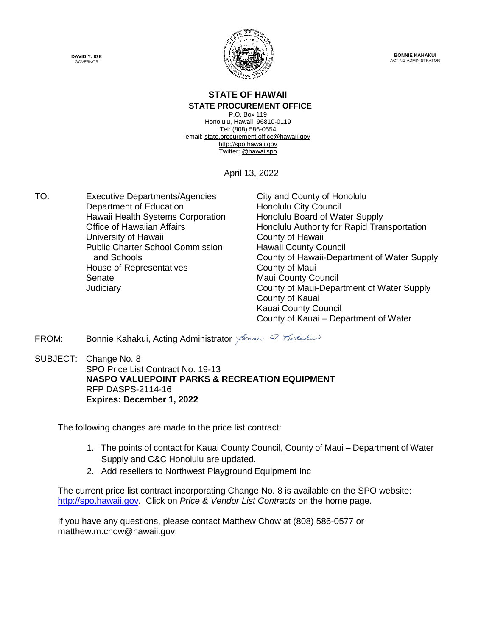



**BONNIE KAHAKUI** ACTING ADMINISTRATOR

#### **STATE OF HAWAII STATE PROCUREMENT OFFICE**

P.O. Box 119 Honolulu, Hawaii 96810-0119 Tel: (808) 586-0554 email[: state.procurement.office@hawaii.gov](mailto:state.procurement.office@hawaii.gov) [http://spo.hawaii.gov](http://spo.hawaii.gov/) Twitter: [@hawaiispo](https://twitter.com/hawaiispo)

April 13, 2022

TO: Executive Departments/Agencies City and County of Honolulu Department of Education **Honolulu City Council** Hawaii Health Systems Corporation Honolulu Board of Water Supply University of Hawaii **County of Hawaii** Public Charter School Commission and Schools House of Representatives **County of Maui** Senate **Maui County Council** Maui County Council

Office of Hawaiian Affairs **Honolulu Authority for Rapid Transportation** Hawaii County Council County of Hawaii-Department of Water Supply Judiciary County of Maui-Department of Water Supply County of Kauai Kauai County Council County of Kauai – Department of Water

FROM: Bonnie Kahakui, Acting Administrator  $\beta$ mmu  $\alpha$  Tartakus

SUBJECT: Change No. 8 SPO Price List Contract No. 19-13 **NASPO VALUEPOINT PARKS & RECREATION EQUIPMENT** RFP DASPS-2114-16 **Expires: December 1, 2022**

The following changes are made to the price list contract:

- 1. The points of contact for Kauai County Council, County of Maui Department of Water Supply and C&C Honolulu are updated.
- 2. Add resellers to Northwest Playground Equipment Inc

The current price list contract incorporating Change No. 8 is available on the SPO website: [http://spo.hawaii.gov.](http://spo.hawaii.gov/) Click on *Price & Vendor List Contracts* on the home page.

If you have any questions, please contact Matthew Chow at (808) 586-0577 or matthew.m.chow@hawaii.gov.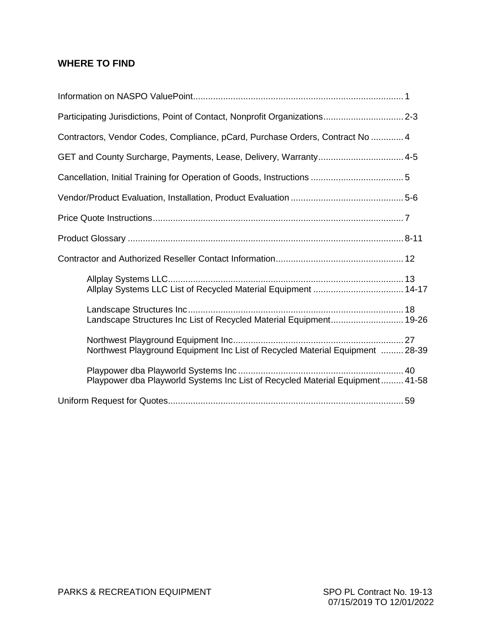### **WHERE TO FIND**

| Participating Jurisdictions, Point of Contact, Nonprofit Organizations 2-3    |  |
|-------------------------------------------------------------------------------|--|
| Contractors, Vendor Codes, Compliance, pCard, Purchase Orders, Contract No  4 |  |
| GET and County Surcharge, Payments, Lease, Delivery, Warranty 4-5             |  |
|                                                                               |  |
|                                                                               |  |
|                                                                               |  |
|                                                                               |  |
|                                                                               |  |
|                                                                               |  |
| Landscape Structures Inc List of Recycled Material Equipment 19-26            |  |
| Northwest Playground Equipment Inc List of Recycled Material Equipment  28-39 |  |
| Playpower dba Playworld Systems Inc List of Recycled Material Equipment 41-58 |  |
|                                                                               |  |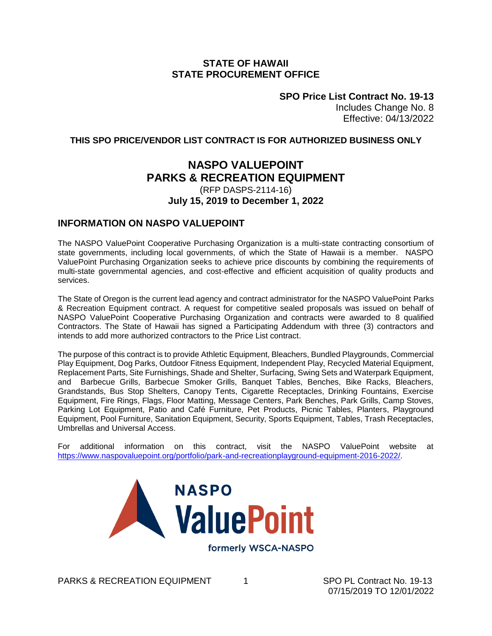#### **STATE OF HAWAII STATE PROCUREMENT OFFICE**

**SPO Price List Contract No. 19-13** Includes Change No. 8 Effective: 04/13/2022

#### **THIS SPO PRICE/VENDOR LIST CONTRACT IS FOR AUTHORIZED BUSINESS ONLY**

### **NASPO VALUEPOINT PARKS & RECREATION EQUIPMENT**

#### (RFP DASPS-2114-16) **July 15, 2019 to December 1, 2022**

#### **INFORMATION ON NASPO VALUEPOINT**

The NASPO ValuePoint Cooperative Purchasing Organization is a multi-state contracting consortium of state governments, including local governments, of which the State of Hawaii is a member. NASPO ValuePoint Purchasing Organization seeks to achieve price discounts by combining the requirements of multi-state governmental agencies, and cost-effective and efficient acquisition of quality products and services.

The State of Oregon is the current lead agency and contract administrator for the NASPO ValuePoint Parks & Recreation Equipment contract. A request for competitive sealed proposals was issued on behalf of NASPO ValuePoint Cooperative Purchasing Organization and contracts were awarded to 8 qualified Contractors. The State of Hawaii has signed a Participating Addendum with three (3) contractors and intends to add more authorized contractors to the Price List contract.

The purpose of this contract is to provide Athletic Equipment, Bleachers, Bundled Playgrounds, Commercial Play Equipment, Dog Parks, Outdoor Fitness Equipment, Independent Play, Recycled Material Equipment, Replacement Parts, Site Furnishings, Shade and Shelter, Surfacing, Swing Sets and Waterpark Equipment, and Barbecue Grills, Barbecue Smoker Grills, Banquet Tables, Benches, Bike Racks, Bleachers, Grandstands, Bus Stop Shelters, Canopy Tents, Cigarette Receptacles, Drinking Fountains, Exercise Equipment, Fire Rings, Flags, Floor Matting, Message Centers, Park Benches, Park Grills, Camp Stoves, Parking Lot Equipment, Patio and Café Furniture, Pet Products, Picnic Tables, Planters, Playground Equipment, Pool Furniture, Sanitation Equipment, Security, Sports Equipment, Tables, Trash Receptacles, Umbrellas and Universal Access.

For additional information on this contract, visit the NASPO ValuePoint website at [https://www.naspovaluepoint.org/portfolio/park-and-recreationplayground-equipment-2016-2022/.](https://www.naspovaluepoint.org/portfolio/park-and-recreationplayground-equipment-2016-2022/)



PARKS & RECREATION EQUIPMENT 1 **1** SPO PL Contract No. 19-13

07/15/2019 TO 12/01/2022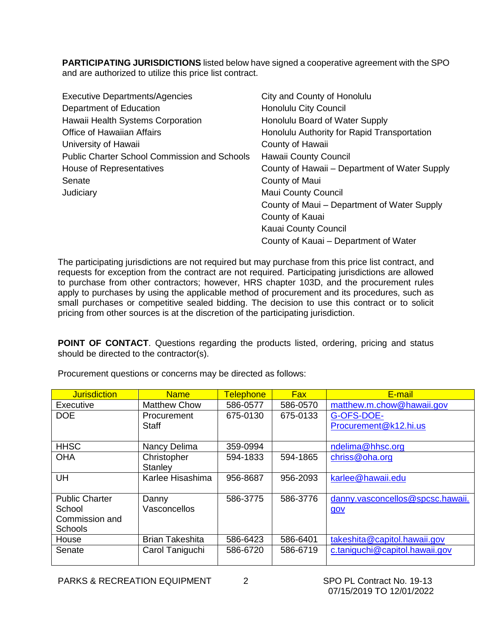**PARTICIPATING JURISDICTIONS** listed below have signed a cooperative agreement with the SPO and are authorized to utilize this price list contract.

| <b>Executive Departments/Agencies</b>               | City and County of Honolulu                   |
|-----------------------------------------------------|-----------------------------------------------|
| Department of Education                             | <b>Honolulu City Council</b>                  |
| Hawaii Health Systems Corporation                   | Honolulu Board of Water Supply                |
| <b>Office of Hawaiian Affairs</b>                   | Honolulu Authority for Rapid Transportation   |
| University of Hawaii                                | County of Hawaii                              |
| <b>Public Charter School Commission and Schools</b> | Hawaii County Council                         |
| House of Representatives                            | County of Hawaii – Department of Water Supply |
| Senate                                              | County of Maui                                |
| Judiciary                                           | <b>Maui County Council</b>                    |
|                                                     | County of Maui - Department of Water Supply   |
|                                                     | County of Kauai                               |
|                                                     | Kauai County Council                          |
|                                                     | County of Kauai – Department of Water         |

The participating jurisdictions are not required but may purchase from this price list contract, and requests for exception from the contract are not required. Participating jurisdictions are allowed to purchase from other contractors; however, HRS chapter 103D, and the procurement rules apply to purchases by using the applicable method of procurement and its procedures, such as small purchases or competitive sealed bidding. The decision to use this contract or to solicit pricing from other sources is at the discretion of the participating jurisdiction.

**POINT OF CONTACT**. Questions regarding the products listed, ordering, pricing and status should be directed to the contractor(s).

| <b>Jurisdiction</b>   | <b>Name</b>            | <b>Telephone</b> | <b>Fax</b> | E-mail                           |
|-----------------------|------------------------|------------------|------------|----------------------------------|
| <b>Executive</b>      | <b>Matthew Chow</b>    | 586-0577         | 586-0570   | matthew.m.chow@hawaii.gov        |
| <b>DOE</b>            | Procurement            | 675-0130         | 675-0133   | G-OFS-DOE-                       |
|                       | <b>Staff</b>           |                  |            | Procurement@k12.hi.us            |
|                       |                        |                  |            |                                  |
| <b>HHSC</b>           | Nancy Delima           | 359-0994         |            | ndelima@hhsc.org                 |
| <b>OHA</b>            | Christopher            | 594-1833         | 594-1865   | chriss@oha.org                   |
|                       | Stanley                |                  |            |                                  |
| UH                    | Karlee Hisashima       | 956-8687         | 956-2093   | karlee@hawaii.edu                |
|                       |                        |                  |            |                                  |
| <b>Public Charter</b> | Danny                  | 586-3775         | 586-3776   | danny.vasconcellos@spcsc.hawaii. |
| School                | Vasconcellos           |                  |            | gov                              |
| Commission and        |                        |                  |            |                                  |
| <b>Schools</b>        |                        |                  |            |                                  |
| House                 | <b>Brian Takeshita</b> | 586-6423         | 586-6401   | takeshita@capitol.hawaii.gov     |
| Senate                | Carol Taniguchi        | 586-6720         | 586-6719   | c.taniguchi@capitol.hawaii.gov   |
|                       |                        |                  |            |                                  |

Procurement questions or concerns may be directed as follows: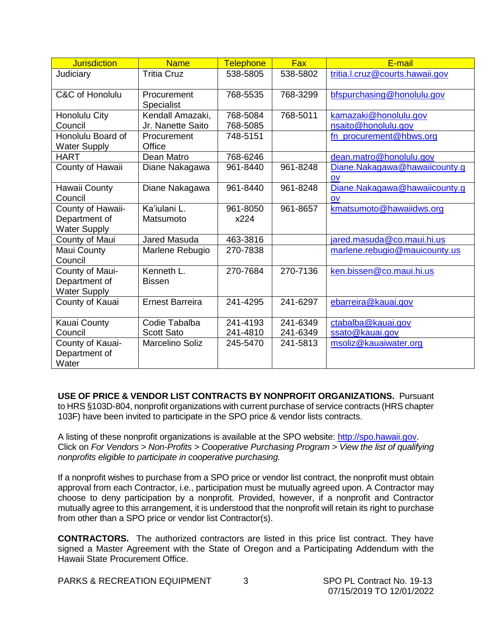| <b>Jurisdiction</b>                      | <b>Name</b>                      | <b>Telephone</b> | <b>Fax</b> | E-mail                          |
|------------------------------------------|----------------------------------|------------------|------------|---------------------------------|
| Judiciary                                | <b>Tritia Cruz</b>               | 538-5805         | 538-5802   | tritia.l.cruz@courts.hawaii.gov |
| C&C of Honolulu                          | Procurement<br><b>Specialist</b> | 768-5535         | 768-3299   | bfspurchasing@honolulu.gov      |
| Honolulu City                            | Kendall Amazaki,                 | 768-5084         | 768-5011   | kamazaki@honolulu.gov           |
| Council                                  | Jr. Nanette Saito                | 768-5085         |            | nsaito@honolulu.gov             |
| Honolulu Board of<br><b>Water Supply</b> | Procurement<br>Office            | 748-5151         |            | fn_procurement@hbws.org         |
| <b>HART</b>                              | Dean Matro                       | 768-6246         |            | dean.matro@honolulu.gov         |
| County of Hawaii                         | Diane Nakagawa                   | 961-8440         | 961-8248   | Diane.Nakagawa@hawaiicounty.g   |
|                                          |                                  |                  |            | $\overline{O}V$                 |
| Hawaii County                            | Diane Nakagawa                   | 961-8440         | 961-8248   | Diane.Nakagawa@hawaiicounty.q   |
| Council                                  |                                  |                  |            | OV                              |
| County of Hawaii-                        | Ka'iulani L.                     | 961-8050         | 961-8657   | kmatsumoto@hawaiidws.org        |
| Department of                            | Matsumoto                        | x224             |            |                                 |
| <b>Water Supply</b>                      |                                  |                  |            |                                 |
| County of Maui                           | Jared Masuda                     | 463-3816         |            | jared.masuda@co.maui.hi.us      |
| Maui County<br>Council                   | Marlene Rebugio                  | 270-7838         |            | marlene.rebugio@mauicounty.us   |
| County of Maui-                          | Kenneth L.                       | 270-7684         | 270-7136   | ken.bissen@co.maui.hi.us        |
| Department of                            | <b>Bissen</b>                    |                  |            |                                 |
| <b>Water Supply</b>                      |                                  |                  |            |                                 |
| County of Kauai                          | <b>Ernest Barreira</b>           | 241-4295         | 241-6297   | ebarreira@kauai.gov             |
| Kauai County                             | Codie Tabalba                    | 241-4193         | 241-6349   | ctabalba@kauai.gov              |
| Council                                  | <b>Scott Sato</b>                | 241-4810         | 241-6349   | ssato@kauai.gov                 |
| County of Kauai-                         | Marcelino Soliz                  | 245-5470         | 241-5813   | msoliz@kauaiwater.org           |
| Department of<br>Water                   |                                  |                  |            |                                 |

**USE OF PRICE & VENDOR LIST CONTRACTS BY NONPROFIT ORGANIZATIONS.** Pursuant to HRS §103D-804, nonprofit organizations with current purchase of service contracts (HRS chapter 103F) have been invited to participate in the SPO price & vendor lists contracts.

A listing of these nonprofit organizations is available at the SPO website: [http://spo.hawaii.gov.](http://spo.hawaii.gov/) Click on *For Vendors > Non-Profits > Cooperative Purchasing Program > View the list of qualifying nonprofits eligible to participate in cooperative purchasing.*

If a nonprofit wishes to purchase from a SPO price or vendor list contract, the nonprofit must obtain approval from each Contractor, i.e., participation must be mutually agreed upon. A Contractor may choose to deny participation by a nonprofit. Provided, however, if a nonprofit and Contractor mutually agree to this arrangement, it is understood that the nonprofit will retain its right to purchase from other than a SPO price or vendor list Contractor(s).

**CONTRACTORS.** The authorized contractors are listed in this price list contract. They have signed a Master Agreement with the State of Oregon and a Participating Addendum with the Hawaii State Procurement Office.

PARKS & RECREATION EQUIPMENT 3<br>**3 SPO PL Contract No. 19-13**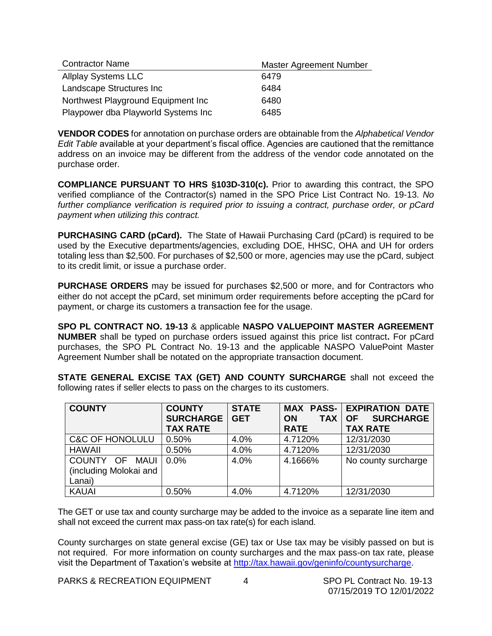| <b>Contractor Name</b>              | Master Agreement Number |
|-------------------------------------|-------------------------|
| <b>Allplay Systems LLC</b>          | 6479                    |
| Landscape Structures Inc            | 6484                    |
| Northwest Playground Equipment Inc. | 6480                    |
| Playpower dba Playworld Systems Inc | 6485                    |

**VENDOR CODES** for annotation on purchase orders are obtainable from the *Alphabetical Vendor Edit Table* available at your department's fiscal office. Agencies are cautioned that the remittance address on an invoice may be different from the address of the vendor code annotated on the purchase order.

**COMPLIANCE PURSUANT TO HRS §103D-310(c).** Prior to awarding this contract, the SPO verified compliance of the Contractor(s) named in the SPO Price List Contract No. 19-13. *No further compliance verification is required prior to issuing a contract, purchase order, or pCard payment when utilizing this contract.*

**PURCHASING CARD (pCard).** The State of Hawaii Purchasing Card (pCard) is required to be used by the Executive departments/agencies, excluding DOE, HHSC, OHA and UH for orders totaling less than \$2,500. For purchases of \$2,500 or more, agencies may use the pCard, subject to its credit limit, or issue a purchase order.

**PURCHASE ORDERS** may be issued for purchases \$2,500 or more, and for Contractors who either do not accept the pCard, set minimum order requirements before accepting the pCard for payment, or charge its customers a transaction fee for the usage.

**SPO PL CONTRACT NO. 19-13** & applicable **NASPO VALUEPOINT MASTER AGREEMENT NUMBER** shall be typed on purchase orders issued against this price list contract**.** For pCard purchases, the SPO PL Contract No. 19-13 and the applicable NASPO ValuePoint Master Agreement Number shall be notated on the appropriate transaction document.

|                                                                           |  |  | STATE GENERAL EXCISE TAX (GET) AND COUNTY SURCHARGE shall not exceed the |  |  |
|---------------------------------------------------------------------------|--|--|--------------------------------------------------------------------------|--|--|
| following rates if seller elects to pass on the charges to its customers. |  |  |                                                                          |  |  |

| <b>COUNTY</b>              | <b>COUNTY</b><br><b>SURCHARGE</b><br><b>TAX RATE</b> | <b>STATE</b><br><b>GET</b> | <b>TAX</b><br><b>ON</b><br><b>RATE</b> | <b>MAX PASS- EXPIRATION DATE</b><br><b>SURCHARGE</b><br><b>OF</b><br><b>TAX RATE</b> |
|----------------------------|------------------------------------------------------|----------------------------|----------------------------------------|--------------------------------------------------------------------------------------|
|                            |                                                      |                            |                                        |                                                                                      |
| <b>C&amp;C OF HONOLULU</b> | 0.50%                                                | 4.0%                       | 4.7120%                                | 12/31/2030                                                                           |
| <b>HAWAII</b>              | 0.50%                                                | 4.0%                       | 4.7120%                                | 12/31/2030                                                                           |
| COUNTY OF MAUI             | $0.0\%$                                              | 4.0%                       | 4.1666%                                | No county surcharge                                                                  |
| (including Molokai and     |                                                      |                            |                                        |                                                                                      |
| Lanai)                     |                                                      |                            |                                        |                                                                                      |
| <b>KAUAI</b>               | 0.50%                                                | 4.0%                       | 4.7120%                                | 12/31/2030                                                                           |

The GET or use tax and county surcharge may be added to the invoice as a separate line item and shall not exceed the current max pass-on tax rate(s) for each island.

County surcharges on state general excise (GE) tax or Use tax may be visibly passed on but is not required. For more information on county surcharges and the max pass-on tax rate, please visit the Department of Taxation's website at [http://tax.hawaii.gov/geninfo/countysurcharge.](http://tax.hawaii.gov/geninfo/countysurcharge)

PARKS & RECREATION EQUIPMENT 4SPO PL Contract No. 19-13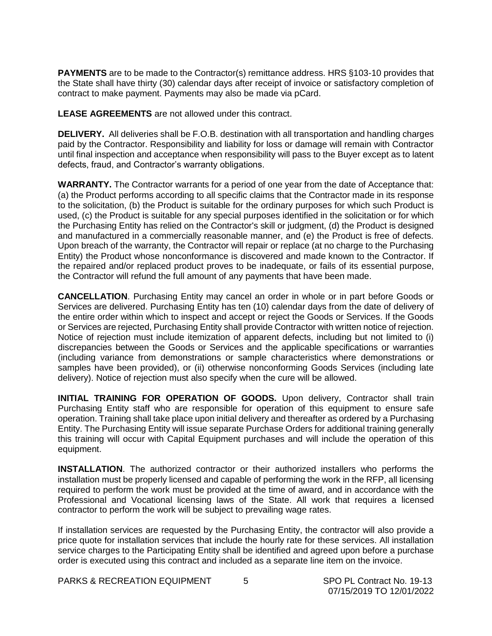**PAYMENTS** are to be made to the Contractor(s) remittance address. HRS §103-10 provides that the State shall have thirty (30) calendar days after receipt of invoice or satisfactory completion of contract to make payment. Payments may also be made via pCard.

**LEASE AGREEMENTS** are not allowed under this contract.

**DELIVERY.** All deliveries shall be F.O.B. destination with all transportation and handling charges paid by the Contractor. Responsibility and liability for loss or damage will remain with Contractor until final inspection and acceptance when responsibility will pass to the Buyer except as to latent defects, fraud, and Contractor's warranty obligations.

**WARRANTY.** The Contractor warrants for a period of one year from the date of Acceptance that: (a) the Product performs according to all specific claims that the Contractor made in its response to the solicitation, (b) the Product is suitable for the ordinary purposes for which such Product is used, (c) the Product is suitable for any special purposes identified in the solicitation or for which the Purchasing Entity has relied on the Contractor's skill or judgment, (d) the Product is designed and manufactured in a commercially reasonable manner, and (e) the Product is free of defects. Upon breach of the warranty, the Contractor will repair or replace (at no charge to the Purchasing Entity) the Product whose nonconformance is discovered and made known to the Contractor. If the repaired and/or replaced product proves to be inadequate, or fails of its essential purpose, the Contractor will refund the full amount of any payments that have been made.

**CANCELLATION**. Purchasing Entity may cancel an order in whole or in part before Goods or Services are delivered. Purchasing Entity has ten (10) calendar days from the date of delivery of the entire order within which to inspect and accept or reject the Goods or Services. If the Goods or Services are rejected, Purchasing Entity shall provide Contractor with written notice of rejection. Notice of rejection must include itemization of apparent defects, including but not limited to (i) discrepancies between the Goods or Services and the applicable specifications or warranties (including variance from demonstrations or sample characteristics where demonstrations or samples have been provided), or (ii) otherwise nonconforming Goods Services (including late delivery). Notice of rejection must also specify when the cure will be allowed.

**INITIAL TRAINING FOR OPERATION OF GOODS.** Upon delivery, Contractor shall train Purchasing Entity staff who are responsible for operation of this equipment to ensure safe operation. Training shall take place upon initial delivery and thereafter as ordered by a Purchasing Entity. The Purchasing Entity will issue separate Purchase Orders for additional training generally this training will occur with Capital Equipment purchases and will include the operation of this equipment.

**INSTALLATION**. The authorized contractor or their authorized installers who performs the installation must be properly licensed and capable of performing the work in the RFP, all licensing required to perform the work must be provided at the time of award, and in accordance with the Professional and Vocational licensing laws of the State. All work that requires a licensed contractor to perform the work will be subject to prevailing wage rates.

If installation services are requested by the Purchasing Entity, the contractor will also provide a price quote for installation services that include the hourly rate for these services. All installation service charges to the Participating Entity shall be identified and agreed upon before a purchase order is executed using this contract and included as a separate line item on the invoice.

PARKS & RECREATION EQUIPMENT 5 **5** SPO PL Contract No. 19-13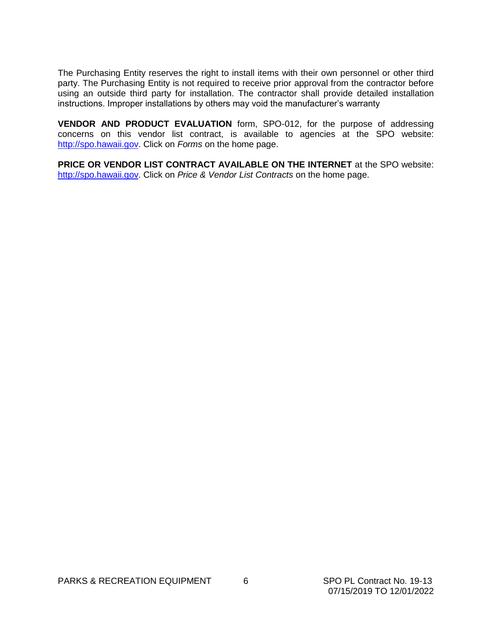The Purchasing Entity reserves the right to install items with their own personnel or other third party. The Purchasing Entity is not required to receive prior approval from the contractor before using an outside third party for installation. The contractor shall provide detailed installation instructions. Improper installations by others may void the manufacturer's warranty

**VENDOR AND PRODUCT EVALUATION** form, SPO-012, for the purpose of addressing concerns on this vendor list contract, is available to agencies at the SPO website: [http://spo.hawaii.gov.](http://spo.hawaii.gov/) Click on *Forms* on the home page.

**PRICE OR VENDOR LIST CONTRACT AVAILABLE ON THE INTERNET** at the SPO website: [http://spo.hawaii.gov.](http://spo.hawaii.gov/) Click on *Price & Vendor List Contracts* on the home page.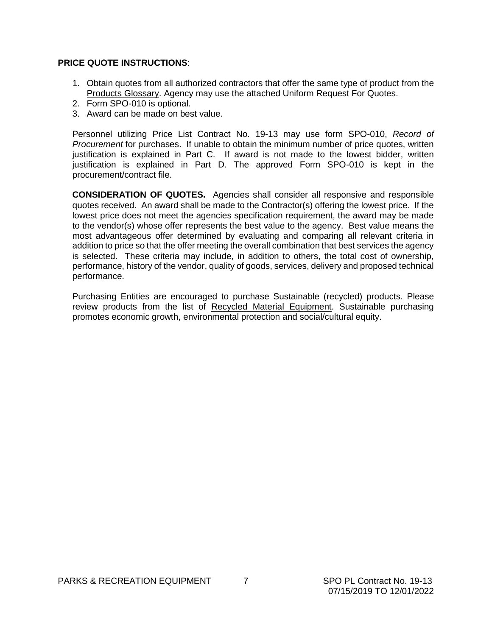#### **PRICE QUOTE INSTRUCTIONS**:

- 1. Obtain quotes from all authorized contractors that offer the same type of product from the Products Glossary. Agency may use the attached Uniform Request For Quotes.
- 2. Form SPO-010 is optional.
- 3. Award can be made on best value.

Personnel utilizing Price List Contract No. 19-13 may use form SPO-010, *Record of Procurement* for purchases.If unable to obtain the minimum number of price quotes, written justification is explained in Part C. If award is not made to the lowest bidder, written justification is explained in Part D. The approved Form SPO-010 is kept in the procurement/contract file.

**CONSIDERATION OF QUOTES.** Agencies shall consider all responsive and responsible quotes received. An award shall be made to the Contractor(s) offering the lowest price. If the lowest price does not meet the agencies specification requirement, the award may be made to the vendor(s) whose offer represents the best value to the agency. Best value means the most advantageous offer determined by evaluating and comparing all relevant criteria in addition to price so that the offer meeting the overall combination that best services the agency is selected. These criteria may include, in addition to others, the total cost of ownership, performance, history of the vendor, quality of goods, services, delivery and proposed technical performance.

Purchasing Entities are encouraged to purchase Sustainable (recycled) products. Please review products from the list of Recycled Material Equipment. Sustainable purchasing promotes economic growth, environmental protection and social/cultural equity.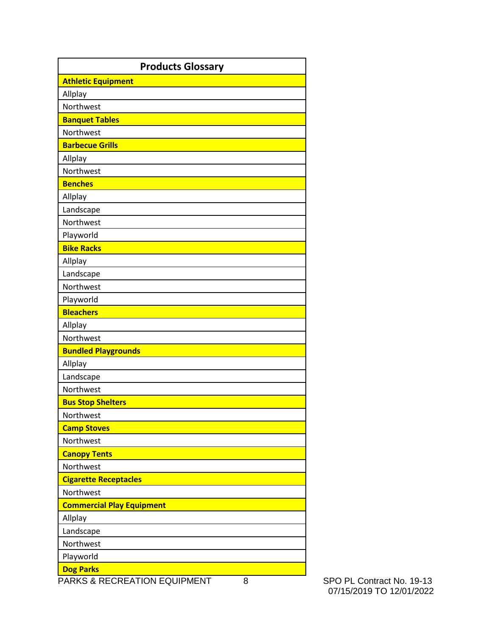| <b>Athletic Equipment</b><br>Allplay<br>Northwest<br><b>Banquet Tables</b><br>Northwest<br><b>Barbecue Grills</b><br>Allplay<br>Northwest |
|-------------------------------------------------------------------------------------------------------------------------------------------|
|                                                                                                                                           |
|                                                                                                                                           |
|                                                                                                                                           |
|                                                                                                                                           |
|                                                                                                                                           |
|                                                                                                                                           |
|                                                                                                                                           |
|                                                                                                                                           |
| <b>Benches</b>                                                                                                                            |
| Allplay                                                                                                                                   |
| Landscape                                                                                                                                 |
| Northwest                                                                                                                                 |
| Playworld                                                                                                                                 |
| <b>Bike Racks</b>                                                                                                                         |
| Allplay                                                                                                                                   |
| Landscape                                                                                                                                 |
| Northwest                                                                                                                                 |
| Playworld                                                                                                                                 |
| <b>Bleachers</b>                                                                                                                          |
| Allplay                                                                                                                                   |
| Northwest                                                                                                                                 |
| <b>Bundled Playgrounds</b>                                                                                                                |
| Allplay                                                                                                                                   |
| Landscape                                                                                                                                 |
| Northwest                                                                                                                                 |
| <b>Bus Stop Shelters</b>                                                                                                                  |
| Northwest                                                                                                                                 |
| <b>Camp Stoves</b>                                                                                                                        |
| Northwest                                                                                                                                 |
| <b>Canopy Tents</b>                                                                                                                       |
| Northwest                                                                                                                                 |
| <b>Cigarette Receptacles</b>                                                                                                              |
| Northwest                                                                                                                                 |
| <b>Commercial Play Equipment</b>                                                                                                          |
| Allplay                                                                                                                                   |
| Landscape                                                                                                                                 |
| Northwest                                                                                                                                 |
| Playworld                                                                                                                                 |
| <b>Dog Parks</b><br>PARKS & RECREATION EQUIPMENT<br>8                                                                                     |

SPO PL Contract No. 19-13 07/15/2019 TO 12/01/2022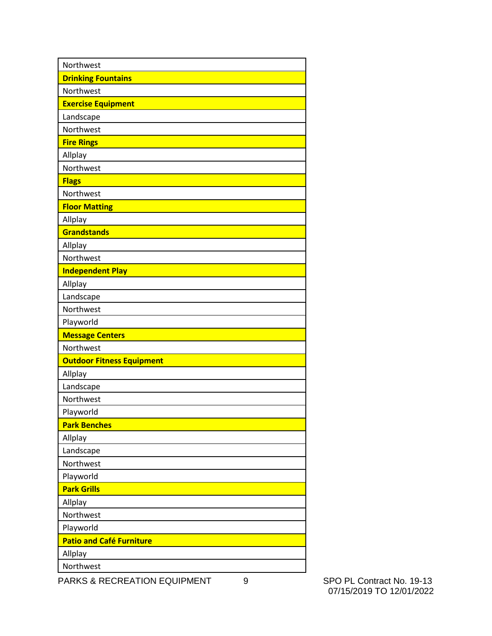| Northwest                        |
|----------------------------------|
| <b>Drinking Fountains</b>        |
| Northwest                        |
| <b>Exercise Equipment</b>        |
| Landscape                        |
| Northwest                        |
| <b>Fire Rings</b>                |
| Allplay                          |
| Northwest                        |
| <b>Flags</b>                     |
| Northwest                        |
| <b>Floor Matting</b>             |
| Allplay                          |
| <b>Grandstands</b>               |
| Allplay                          |
| Northwest                        |
| <b>Independent Play</b>          |
| Allplay                          |
| Landscape                        |
| Northwest                        |
| Playworld                        |
| <b>Message Centers</b>           |
| Northwest                        |
| <b>Outdoor Fitness Equipment</b> |
| Allplay                          |
| Landscape                        |
| Northwest                        |
| Playworld                        |
| <b>Park Benches</b>              |
| Allplay                          |
| Landscape                        |
| Northwest                        |
| Playworld                        |
| <b>Park Grills</b>               |
| Allplay                          |
| Northwest                        |
| Playworld                        |
| <b>Patio and Café Furniture</b>  |
| Allplay                          |
| Northwest                        |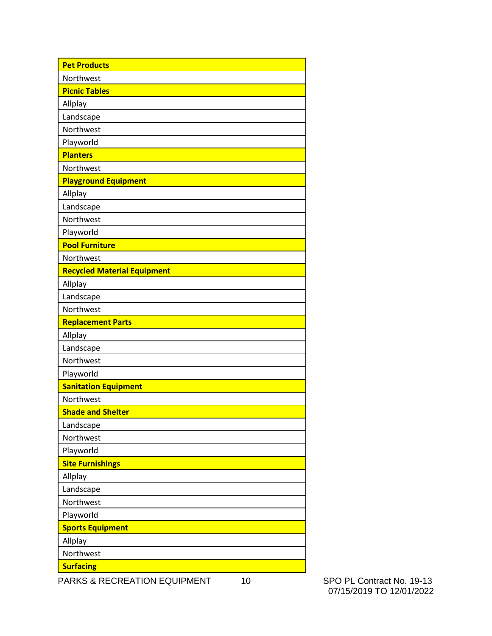| <b>Pet Products</b>                |
|------------------------------------|
| Northwest                          |
| <b>Picnic Tables</b>               |
| Allplay                            |
| Landscape                          |
| Northwest                          |
| Playworld                          |
| <b>Planters</b>                    |
| Northwest                          |
| <b>Playground Equipment</b>        |
| Allplay                            |
| Landscape                          |
| Northwest                          |
| Playworld                          |
| <b>Pool Furniture</b>              |
| Northwest                          |
| <b>Recycled Material Equipment</b> |
| Allplay                            |
| Landscape                          |
| Northwest                          |
| <b>Replacement Parts</b>           |
| Allplay                            |
| Landscape                          |
| Northwest                          |
| Playworld                          |
| <b>Sanitation Equipment</b>        |
| Northwest                          |
| <b>Shade and Shelter</b>           |
| Landscape                          |
| Northwest                          |
| Playworld                          |
| <b>Site Furnishings</b>            |
| Allplay                            |
| Landscape                          |
| Northwest                          |
| Playworld                          |
| <b>Sports Equipment</b>            |
| Allplay                            |
| Northwest                          |
| <b>Surfacing</b>                   |

07/15/2019 TO 12/01/2022

PARKS & RECREATION EQUIPMENT 10 SPO PL Contract No. 19-13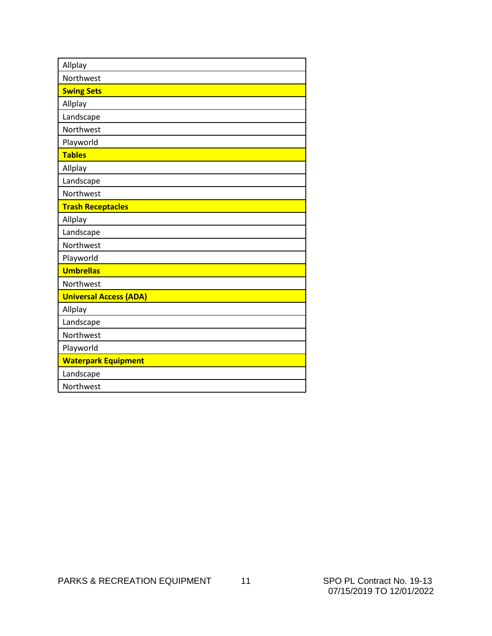| Allplay                       |
|-------------------------------|
| Northwest                     |
| <b>Swing Sets</b>             |
| Allplay                       |
| Landscape                     |
| Northwest                     |
| Playworld                     |
| <b>Tables</b>                 |
| Allplay                       |
| Landscape                     |
| Northwest                     |
| <b>Trash Receptacles</b>      |
| Allplay                       |
| Landscape                     |
| Northwest                     |
| Playworld                     |
| <b>Umbrellas</b>              |
| Northwest                     |
| <b>Universal Access (ADA)</b> |
| Allplay                       |
| Landscape                     |
| Northwest                     |
| Playworld                     |
| <b>Waterpark Equipment</b>    |
| Landscape                     |
| Northwest                     |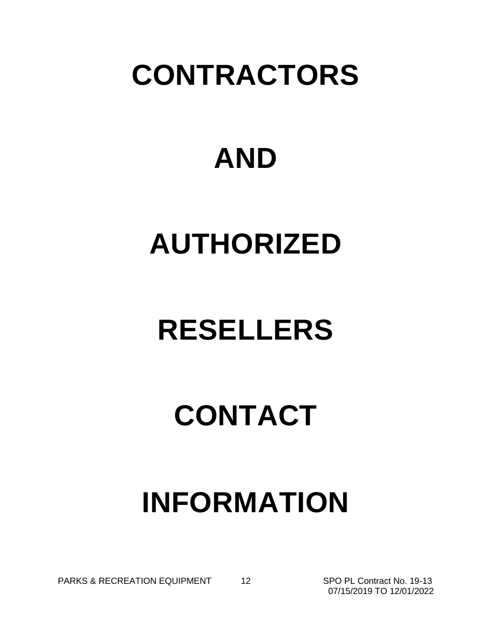## **CONTRACTORS**

# **AND**

## **AUTHORIZED**

# **RESELLERS**

## **CONTACT**

# **INFORMATION**

PARKS & RECREATION EQUIPMENT 12 SPO PL Contract No. 19-13

07/15/2019 TO 12/01/2022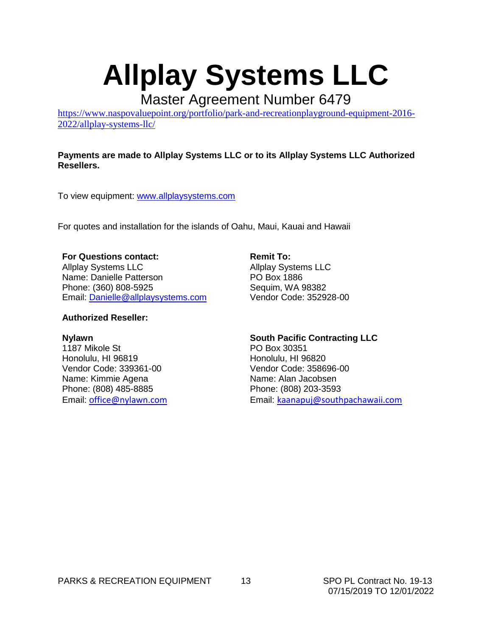### **Allplay Systems LLC**

Master Agreement Number 6479

[https://www.naspovaluepoint.org/portfolio/park-and-recreationplayground-equipment-2016-](https://www.naspovaluepoint.org/portfolio/park-and-recreationplayground-equipment-2016-2022/allplay-systems-llc/) [2022/allplay-systems-llc/](https://www.naspovaluepoint.org/portfolio/park-and-recreationplayground-equipment-2016-2022/allplay-systems-llc/)

#### **Payments are made to Allplay Systems LLC or to its Allplay Systems LLC Authorized Resellers.**

To view equipment: [www.allplaysystems.com](http://www.allplaysystems.com/)

For quotes and installation for the islands of Oahu, Maui, Kauai and Hawaii

#### **For Questions contact:**

Allplay Systems LLC Name: Danielle Patterson Phone: (360) 808-5925 Email: [Danielle@allplaysystems.com](mailto:Danielle@allplaysystems.com)

#### **Authorized Reseller:**

#### **Nylawn**

1187 Mikole St Honolulu, HI 96819 Vendor Code: 339361-00 Name: Kimmie Agena Phone: (808) 485-8885 Email: o[ffice@nylawn.com](mailto:office@nylawn.com)

**Remit To:** Allplay Systems LLC PO Box 1886 Sequim, WA 98382 Vendor Code: 352928-00

**South Pacific Contracting LLC** PO Box 30351 Honolulu, HI 96820 Vendor Code: 358696-00 Name: Alan Jacobsen Phone: (808) 203-3593 Email: [kaanapuj@southpachawaii.com](mailto:kaanapuj@southpachawaii.com)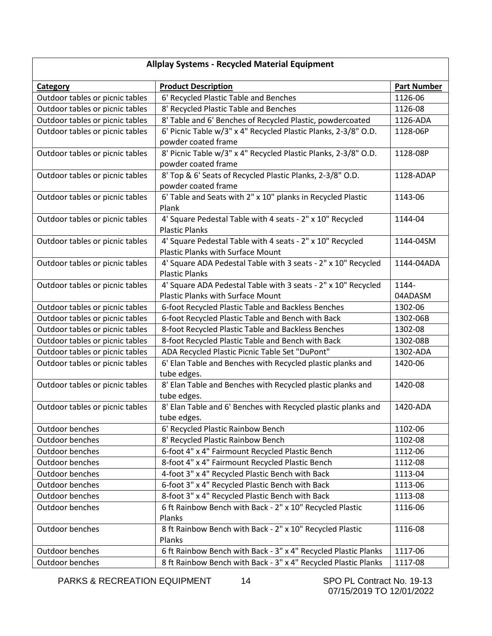| <b>Allplay Systems - Recycled Material Equipment</b> |                                                                |                    |  |  |  |
|------------------------------------------------------|----------------------------------------------------------------|--------------------|--|--|--|
| Category                                             | <b>Product Description</b>                                     | <b>Part Number</b> |  |  |  |
| Outdoor tables or picnic tables                      | 6' Recycled Plastic Table and Benches                          | 1126-06            |  |  |  |
| Outdoor tables or picnic tables                      | 8' Recycled Plastic Table and Benches                          | 1126-08            |  |  |  |
| Outdoor tables or picnic tables                      | 8' Table and 6' Benches of Recycled Plastic, powdercoated      | 1126-ADA           |  |  |  |
| Outdoor tables or picnic tables                      | 6' Picnic Table w/3" x 4" Recycled Plastic Planks, 2-3/8" O.D. | 1128-06P           |  |  |  |
|                                                      | powder coated frame                                            |                    |  |  |  |
| Outdoor tables or picnic tables                      | 8' Picnic Table w/3" x 4" Recycled Plastic Planks, 2-3/8" O.D. | 1128-08P           |  |  |  |
|                                                      | powder coated frame                                            |                    |  |  |  |
| Outdoor tables or picnic tables                      | 8' Top & 6' Seats of Recycled Plastic Planks, 2-3/8" O.D.      | 1128-ADAP          |  |  |  |
|                                                      | powder coated frame                                            |                    |  |  |  |
| Outdoor tables or picnic tables                      | 6' Table and Seats with 2" x 10" planks in Recycled Plastic    | 1143-06            |  |  |  |
|                                                      | Plank                                                          |                    |  |  |  |
| Outdoor tables or picnic tables                      | 4' Square Pedestal Table with 4 seats - 2" x 10" Recycled      | 1144-04            |  |  |  |
|                                                      | <b>Plastic Planks</b>                                          |                    |  |  |  |
| Outdoor tables or picnic tables                      | 4' Square Pedestal Table with 4 seats - 2" x 10" Recycled      | 1144-04SM          |  |  |  |
|                                                      | <b>Plastic Planks with Surface Mount</b>                       |                    |  |  |  |
| Outdoor tables or picnic tables                      | 4' Square ADA Pedestal Table with 3 seats - 2" x 10" Recycled  | 1144-04ADA         |  |  |  |
|                                                      | <b>Plastic Planks</b>                                          |                    |  |  |  |
| Outdoor tables or picnic tables                      | 4' Square ADA Pedestal Table with 3 seats - 2" x 10" Recycled  | 1144-              |  |  |  |
|                                                      | <b>Plastic Planks with Surface Mount</b>                       | 04ADASM            |  |  |  |
| Outdoor tables or picnic tables                      | 6-foot Recycled Plastic Table and Backless Benches             | 1302-06            |  |  |  |
| Outdoor tables or picnic tables                      | 6-foot Recycled Plastic Table and Bench with Back              | 1302-06B           |  |  |  |
| Outdoor tables or picnic tables                      | 8-foot Recycled Plastic Table and Backless Benches             | 1302-08            |  |  |  |
| Outdoor tables or picnic tables                      | 8-foot Recycled Plastic Table and Bench with Back              | 1302-08B           |  |  |  |
| Outdoor tables or picnic tables                      | ADA Recycled Plastic Picnic Table Set "DuPont"                 | 1302-ADA           |  |  |  |
| Outdoor tables or picnic tables                      | 6' Elan Table and Benches with Recycled plastic planks and     | 1420-06            |  |  |  |
|                                                      | tube edges.                                                    |                    |  |  |  |
| Outdoor tables or picnic tables                      | 8' Elan Table and Benches with Recycled plastic planks and     | 1420-08            |  |  |  |
|                                                      | tube edges.                                                    |                    |  |  |  |
| Outdoor tables or picnic tables                      | 8' Elan Table and 6' Benches with Recycled plastic planks and  | 1420-ADA           |  |  |  |
|                                                      | tube edges.                                                    |                    |  |  |  |
| Outdoor benches                                      | 6' Recycled Plastic Rainbow Bench                              | 1102-06            |  |  |  |
| Outdoor benches                                      | 8' Recycled Plastic Rainbow Bench                              | 1102-08            |  |  |  |
| Outdoor benches                                      | 6-foot 4" x 4" Fairmount Recycled Plastic Bench                | 1112-06            |  |  |  |
| Outdoor benches                                      | 8-foot 4" x 4" Fairmount Recycled Plastic Bench                | 1112-08            |  |  |  |
| Outdoor benches                                      | 4-foot 3" x 4" Recycled Plastic Bench with Back                | 1113-04            |  |  |  |
| Outdoor benches                                      | 6-foot 3" x 4" Recycled Plastic Bench with Back                | 1113-06            |  |  |  |
| Outdoor benches                                      | 8-foot 3" x 4" Recycled Plastic Bench with Back                | 1113-08            |  |  |  |
| Outdoor benches                                      | 6 ft Rainbow Bench with Back - 2" x 10" Recycled Plastic       | 1116-06            |  |  |  |
|                                                      | Planks                                                         |                    |  |  |  |
| Outdoor benches                                      | 8 ft Rainbow Bench with Back - 2" x 10" Recycled Plastic       | 1116-08            |  |  |  |
|                                                      | Planks                                                         |                    |  |  |  |
| Outdoor benches                                      | 6 ft Rainbow Bench with Back - 3" x 4" Recycled Plastic Planks | 1117-06            |  |  |  |
| Outdoor benches                                      | 8 ft Rainbow Bench with Back - 3" x 4" Recycled Plastic Planks | 1117-08            |  |  |  |

PARKS & RECREATION EQUIPMENT 14 SPO PL Contract No. 19-13

07/15/2019 TO 12/01/2022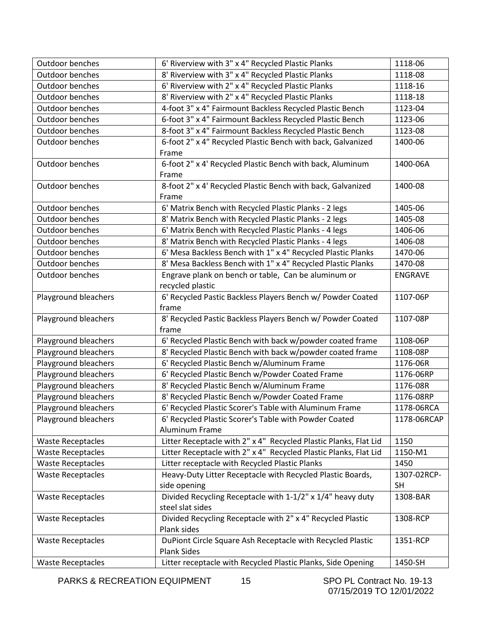| Outdoor benches          | 6' Riverview with 3" x 4" Recycled Plastic Planks                | 1118-06        |
|--------------------------|------------------------------------------------------------------|----------------|
| <b>Outdoor benches</b>   | 8' Riverview with 3" x 4" Recycled Plastic Planks                | 1118-08        |
| Outdoor benches          | 6' Riverview with 2" x 4" Recycled Plastic Planks                | 1118-16        |
| Outdoor benches          | 8' Riverview with 2" x 4" Recycled Plastic Planks                | 1118-18        |
| Outdoor benches          | 4-foot 3" x 4" Fairmount Backless Recycled Plastic Bench         | 1123-04        |
| Outdoor benches          | 6-foot 3" x 4" Fairmount Backless Recycled Plastic Bench         | 1123-06        |
| Outdoor benches          | 8-foot 3" x 4" Fairmount Backless Recycled Plastic Bench         | 1123-08        |
| Outdoor benches          | 6-foot 2" x 4" Recycled Plastic Bench with back, Galvanized      | 1400-06        |
|                          | Frame                                                            |                |
| Outdoor benches          | 6-foot 2" x 4' Recycled Plastic Bench with back, Aluminum        | 1400-06A       |
|                          | Frame                                                            |                |
| Outdoor benches          | 8-foot 2" x 4' Recycled Plastic Bench with back, Galvanized      | 1400-08        |
|                          | Frame                                                            |                |
| Outdoor benches          | 6' Matrix Bench with Recycled Plastic Planks - 2 legs            | 1405-06        |
| Outdoor benches          | 8' Matrix Bench with Recycled Plastic Planks - 2 legs            | 1405-08        |
| Outdoor benches          | 6' Matrix Bench with Recycled Plastic Planks - 4 legs            | 1406-06        |
| Outdoor benches          | 8' Matrix Bench with Recycled Plastic Planks - 4 legs            | 1406-08        |
| Outdoor benches          | 6' Mesa Backless Bench with 1" x 4" Recycled Plastic Planks      | 1470-06        |
| Outdoor benches          | 8' Mesa Backless Bench with 1" x 4" Recycled Plastic Planks      | 1470-08        |
| Outdoor benches          | Engrave plank on bench or table, Can be aluminum or              | <b>ENGRAVE</b> |
|                          | recycled plastic                                                 |                |
| Playground bleachers     | 6' Recycled Pastic Backless Players Bench w/ Powder Coated       | 1107-06P       |
|                          | frame                                                            |                |
| Playground bleachers     | 8' Recycled Pastic Backless Players Bench w/ Powder Coated       | 1107-08P       |
|                          | frame                                                            |                |
|                          |                                                                  |                |
| Playground bleachers     | 6' Recycled Plastic Bench with back w/powder coated frame        | 1108-06P       |
| Playground bleachers     | 8' Recycled Plastic Bench with back w/powder coated frame        | 1108-08P       |
| Playground bleachers     | 6' Recycled Plastic Bench w/Aluminum Frame                       | 1176-06R       |
| Playground bleachers     | 6' Recycled Plastic Bench w/Powder Coated Frame                  | 1176-06RP      |
| Playground bleachers     | 8' Recycled Plastic Bench w/Aluminum Frame                       | 1176-08R       |
| Playground bleachers     | 8' Recycled Plastic Bench w/Powder Coated Frame                  | 1176-08RP      |
| Playground bleachers     | 6' Recycled Plastic Scorer's Table with Aluminum Frame           | 1178-06RCA     |
| Playground bleachers     | 6' Recycled Plastic Scorer's Table with Powder Coated            | 1178-06RCAP    |
|                          | Aluminum Frame                                                   |                |
| <b>Waste Receptacles</b> | Litter Receptacle with 2" x 4" Recycled Plastic Planks, Flat Lid | 1150           |
| <b>Waste Receptacles</b> | Litter Receptacle with 2" x 4" Recycled Plastic Planks, Flat Lid | 1150-M1        |
| <b>Waste Receptacles</b> | Litter receptacle with Recycled Plastic Planks                   | 1450           |
| <b>Waste Receptacles</b> | Heavy-Duty Litter Receptacle with Recycled Plastic Boards,       | 1307-02RCP-    |
|                          | side opening                                                     | <b>SH</b>      |
| <b>Waste Receptacles</b> | Divided Recycling Receptacle with 1-1/2" x 1/4" heavy duty       | 1308-BAR       |
|                          | steel slat sides                                                 |                |
| <b>Waste Receptacles</b> | Divided Recycling Receptacle with 2" x 4" Recycled Plastic       | 1308-RCP       |
|                          | Plank sides                                                      |                |
| <b>Waste Receptacles</b> | DuPiont Circle Square Ash Receptacle with Recycled Plastic       | 1351-RCP       |
|                          | Plank Sides                                                      |                |

PARKS & RECREATION EQUIPMENT 15 SPO PL Contract No. 19-13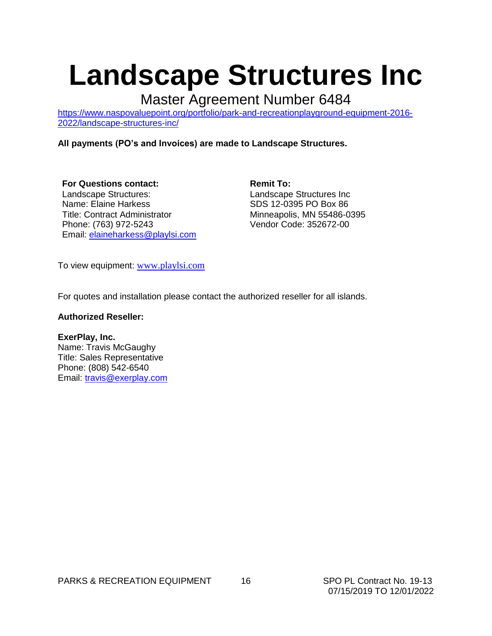### **Landscape Structures Inc**

Master Agreement Number 6484

[https://www.naspovaluepoint.org/portfolio/park-and-recreationplayground-equipment-2016-](https://www.naspovaluepoint.org/portfolio/park-and-recreationplayground-equipment-2016-2022/landscape-structures-inc/) [2022/landscape-structures-inc/](https://www.naspovaluepoint.org/portfolio/park-and-recreationplayground-equipment-2016-2022/landscape-structures-inc/)

#### **All payments (PO's and Invoices) are made to Landscape Structures.**

**For Questions contact:**  Landscape Structures: Name: Elaine Harkess Title: Contract Administrator Phone: (763) 972-5243 Email: [elaineharkess@playlsi.com](mailto:elaineharkess@playlsi.com)

**Remit To:** Landscape Structures Inc SDS 12-0395 PO Box 86 Minneapolis, MN 55486-0395 Vendor Code: 352672-00

To view equipment: [www.playlsi.com](http://www.playlsi.com/)

For quotes and installation please contact the authorized reseller for all islands.

#### **Authorized Reseller:**

#### **ExerPlay, Inc.**

Name: Travis McGaughy Title: Sales Representative Phone: (808) 542-6540 Email: [travis@exerplay.com](mailto:travis@exerplay.com)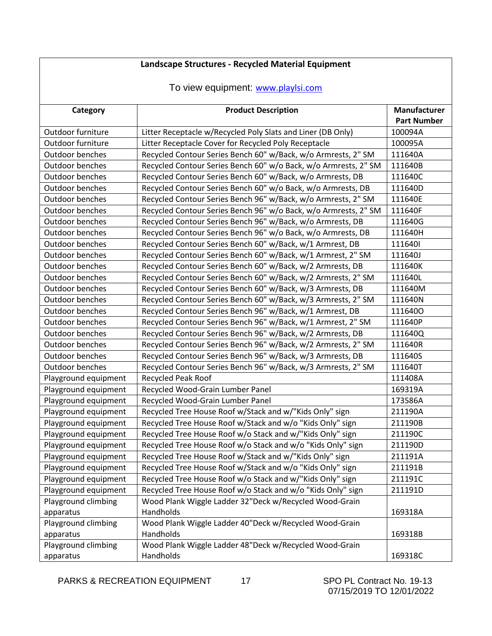### **Landscape Structures - Recycled Material Equipment**

#### To view equipment: [www.playlsi.com](http://www.playlsi.com/)

| Category             | <b>Product Description</b>                                      | Manufacturer<br><b>Part Number</b> |
|----------------------|-----------------------------------------------------------------|------------------------------------|
|                      |                                                                 |                                    |
| Outdoor furniture    | Litter Receptacle w/Recycled Poly Slats and Liner (DB Only)     | 100094A                            |
| Outdoor furniture    | Litter Receptacle Cover for Recycled Poly Receptacle            | 100095A                            |
| Outdoor benches      | Recycled Contour Series Bench 60" w/Back, w/o Armrests, 2" SM   | 111640A                            |
| Outdoor benches      | Recycled Contour Series Bench 60" w/o Back, w/o Armrests, 2" SM | 111640B                            |
| Outdoor benches      | Recycled Contour Series Bench 60" w/Back, w/o Armrests, DB      | 111640C                            |
| Outdoor benches      | Recycled Contour Series Bench 60" w/o Back, w/o Armrests, DB    | 111640D                            |
| Outdoor benches      | Recycled Contour Series Bench 96" w/Back, w/o Armrests, 2" SM   | 111640E                            |
| Outdoor benches      | Recycled Contour Series Bench 96" w/o Back, w/o Armrests, 2" SM | 111640F                            |
| Outdoor benches      | Recycled Contour Series Bench 96" w/Back, w/o Armrests, DB      | 111640G                            |
| Outdoor benches      | Recycled Contour Series Bench 96" w/o Back, w/o Armrests, DB    | 111640H                            |
| Outdoor benches      | Recycled Contour Series Bench 60" w/Back, w/1 Armrest, DB       | 1116401                            |
| Outdoor benches      | Recycled Contour Series Bench 60" w/Back, w/1 Armrest, 2" SM    | 111640J                            |
| Outdoor benches      | Recycled Contour Series Bench 60" w/Back, w/2 Armrests, DB      | 111640K                            |
| Outdoor benches      | Recycled Contour Series Bench 60" w/Back, w/2 Armrests, 2" SM   | 111640L                            |
| Outdoor benches      | Recycled Contour Series Bench 60" w/Back, w/3 Armrests, DB      | 111640M                            |
| Outdoor benches      | Recycled Contour Series Bench 60" w/Back, w/3 Armrests, 2" SM   | 111640N                            |
| Outdoor benches      | Recycled Contour Series Bench 96" w/Back, w/1 Armrest, DB       | 1116400                            |
| Outdoor benches      | Recycled Contour Series Bench 96" w/Back, w/1 Armrest, 2" SM    | 111640P                            |
| Outdoor benches      | Recycled Contour Series Bench 96" w/Back, w/2 Armrests, DB      | 111640Q                            |
| Outdoor benches      | Recycled Contour Series Bench 96" w/Back, w/2 Armrests, 2" SM   | 111640R                            |
| Outdoor benches      | Recycled Contour Series Bench 96" w/Back, w/3 Armrests, DB      | 111640S                            |
| Outdoor benches      | Recycled Contour Series Bench 96" w/Back, w/3 Armrests, 2" SM   | 111640T                            |
| Playground equipment | <b>Recycled Peak Roof</b>                                       | 111408A                            |
| Playground equipment | Recycled Wood-Grain Lumber Panel                                | 169319A                            |
| Playground equipment | Recycled Wood-Grain Lumber Panel                                | 173586A                            |
| Playground equipment | Recycled Tree House Roof w/Stack and w/"Kids Only" sign         | 211190A                            |
| Playground equipment | Recycled Tree House Roof w/Stack and w/o "Kids Only" sign       | 211190B                            |
| Playground equipment | Recycled Tree House Roof w/o Stack and w/"Kids Only" sign       | 211190C                            |
| Playground equipment | Recycled Tree House Roof w/o Stack and w/o "Kids Only" sign     | 211190D                            |
| Playground equipment | Recycled Tree House Roof w/Stack and w/"Kids Only" sign         | 211191A                            |
| Playground equipment | Recycled Tree House Roof w/Stack and w/o "Kids Only" sign       | 211191B                            |
| Playground equipment | Recycled Tree House Roof w/o Stack and w/"Kids Only" sign       | 211191C                            |
| Playground equipment | Recycled Tree House Roof w/o Stack and w/o "Kids Only" sign     | 211191D                            |
| Playground climbing  | Wood Plank Wiggle Ladder 32"Deck w/Recycled Wood-Grain          |                                    |
| apparatus            | Handholds                                                       | 169318A                            |
| Playground climbing  | Wood Plank Wiggle Ladder 40"Deck w/Recycled Wood-Grain          |                                    |
| apparatus            | Handholds                                                       | 169318B                            |
| Playground climbing  | Wood Plank Wiggle Ladder 48"Deck w/Recycled Wood-Grain          |                                    |
| apparatus            | Handholds                                                       | 169318C                            |

PARKS & RECREATION EQUIPMENT 17 SPO PL Contract No. 19-13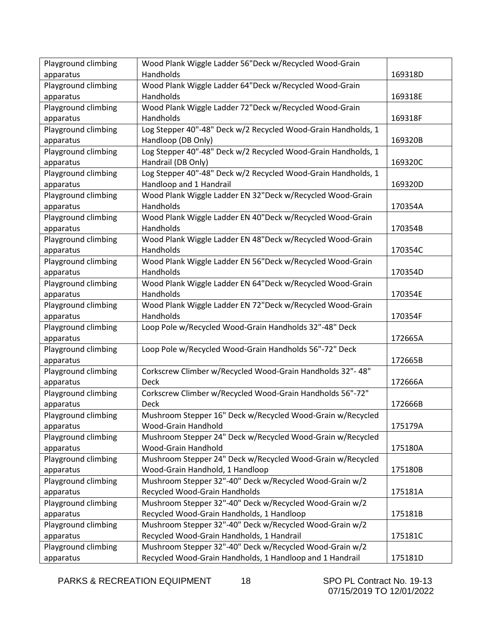| Playground climbing | Wood Plank Wiggle Ladder 56"Deck w/Recycled Wood-Grain        |         |
|---------------------|---------------------------------------------------------------|---------|
| apparatus           | Handholds                                                     | 169318D |
| Playground climbing | Wood Plank Wiggle Ladder 64"Deck w/Recycled Wood-Grain        |         |
| apparatus           | Handholds                                                     | 169318E |
| Playground climbing | Wood Plank Wiggle Ladder 72"Deck w/Recycled Wood-Grain        |         |
| apparatus           | Handholds                                                     | 169318F |
| Playground climbing | Log Stepper 40"-48" Deck w/2 Recycled Wood-Grain Handholds, 1 |         |
| apparatus           | Handloop (DB Only)                                            | 169320B |
| Playground climbing | Log Stepper 40"-48" Deck w/2 Recycled Wood-Grain Handholds, 1 |         |
| apparatus           | Handrail (DB Only)                                            | 169320C |
| Playground climbing | Log Stepper 40"-48" Deck w/2 Recycled Wood-Grain Handholds, 1 |         |
| apparatus           | Handloop and 1 Handrail                                       | 169320D |
| Playground climbing | Wood Plank Wiggle Ladder EN 32"Deck w/Recycled Wood-Grain     |         |
| apparatus           | Handholds                                                     | 170354A |
| Playground climbing | Wood Plank Wiggle Ladder EN 40"Deck w/Recycled Wood-Grain     |         |
| apparatus           | Handholds                                                     | 170354B |
| Playground climbing | Wood Plank Wiggle Ladder EN 48"Deck w/Recycled Wood-Grain     |         |
| apparatus           | Handholds                                                     | 170354C |
| Playground climbing | Wood Plank Wiggle Ladder EN 56"Deck w/Recycled Wood-Grain     |         |
| apparatus           | Handholds                                                     | 170354D |
| Playground climbing | Wood Plank Wiggle Ladder EN 64"Deck w/Recycled Wood-Grain     |         |
| apparatus           | Handholds                                                     | 170354E |
| Playground climbing | Wood Plank Wiggle Ladder EN 72"Deck w/Recycled Wood-Grain     |         |
| apparatus           | Handholds                                                     | 170354F |
| Playground climbing | Loop Pole w/Recycled Wood-Grain Handholds 32"-48" Deck        |         |
| apparatus           |                                                               | 172665A |
| Playground climbing | Loop Pole w/Recycled Wood-Grain Handholds 56"-72" Deck        |         |
| apparatus           |                                                               | 172665B |
| Playground climbing | Corkscrew Climber w/Recycled Wood-Grain Handholds 32"- 48"    |         |
| apparatus           | Deck                                                          | 172666A |
| Playground climbing | Corkscrew Climber w/Recycled Wood-Grain Handholds 56"-72"     |         |
| apparatus           | <b>Deck</b>                                                   | 172666B |
| Playground climbing | Mushroom Stepper 16" Deck w/Recycled Wood-Grain w/Recycled    |         |
| apparatus           | Wood-Grain Handhold                                           | 175179A |
| Playground climbing | Mushroom Stepper 24" Deck w/Recycled Wood-Grain w/Recycled    |         |
| apparatus           | Wood-Grain Handhold                                           | 175180A |
| Playground climbing | Mushroom Stepper 24" Deck w/Recycled Wood-Grain w/Recycled    |         |
| apparatus           | Wood-Grain Handhold, 1 Handloop                               | 175180B |
| Playground climbing | Mushroom Stepper 32"-40" Deck w/Recycled Wood-Grain w/2       |         |
| apparatus           | Recycled Wood-Grain Handholds                                 | 175181A |
| Playground climbing | Mushroom Stepper 32"-40" Deck w/Recycled Wood-Grain w/2       |         |
| apparatus           | Recycled Wood-Grain Handholds, 1 Handloop                     | 175181B |
| Playground climbing | Mushroom Stepper 32"-40" Deck w/Recycled Wood-Grain w/2       |         |
| apparatus           | Recycled Wood-Grain Handholds, 1 Handrail                     | 175181C |
| Playground climbing | Mushroom Stepper 32"-40" Deck w/Recycled Wood-Grain w/2       |         |
| apparatus           | Recycled Wood-Grain Handholds, 1 Handloop and 1 Handrail      | 175181D |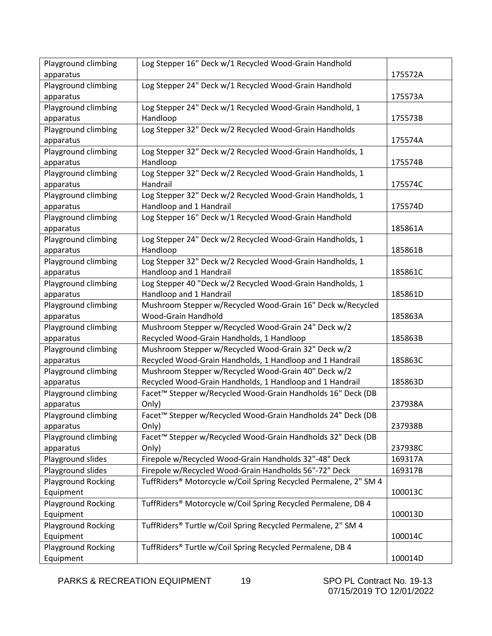| Playground climbing       | Log Stepper 16" Deck w/1 Recycled Wood-Grain Handhold                     |         |
|---------------------------|---------------------------------------------------------------------------|---------|
| apparatus                 |                                                                           | 175572A |
| Playground climbing       | Log Stepper 24" Deck w/1 Recycled Wood-Grain Handhold                     |         |
| apparatus                 |                                                                           | 175573A |
| Playground climbing       | Log Stepper 24" Deck w/1 Recycled Wood-Grain Handhold, 1                  |         |
| apparatus                 | Handloop                                                                  | 175573B |
| Playground climbing       | Log Stepper 32" Deck w/2 Recycled Wood-Grain Handholds                    |         |
| apparatus                 |                                                                           | 175574A |
| Playground climbing       | Log Stepper 32" Deck w/2 Recycled Wood-Grain Handholds, 1                 |         |
| apparatus                 | Handloop                                                                  | 175574B |
| Playground climbing       | Log Stepper 32" Deck w/2 Recycled Wood-Grain Handholds, 1                 |         |
| apparatus                 | Handrail                                                                  | 175574C |
| Playground climbing       | Log Stepper 32" Deck w/2 Recycled Wood-Grain Handholds, 1                 |         |
| apparatus                 | Handloop and 1 Handrail                                                   | 175574D |
| Playground climbing       | Log Stepper 16" Deck w/1 Recycled Wood-Grain Handhold                     |         |
| apparatus                 |                                                                           | 185861A |
| Playground climbing       | Log Stepper 24" Deck w/2 Recycled Wood-Grain Handholds, 1                 |         |
| apparatus                 | Handloop                                                                  | 185861B |
| Playground climbing       | Log Stepper 32" Deck w/2 Recycled Wood-Grain Handholds, 1                 |         |
| apparatus                 | Handloop and 1 Handrail                                                   | 185861C |
| Playground climbing       | Log Stepper 40 "Deck w/2 Recycled Wood-Grain Handholds, 1                 |         |
| apparatus                 | Handloop and 1 Handrail                                                   | 185861D |
| Playground climbing       | Mushroom Stepper w/Recycled Wood-Grain 16" Deck w/Recycled                |         |
| apparatus                 | Wood-Grain Handhold                                                       | 185863A |
| Playground climbing       | Mushroom Stepper w/Recycled Wood-Grain 24" Deck w/2                       |         |
| apparatus                 | Recycled Wood-Grain Handholds, 1 Handloop                                 | 185863B |
| Playground climbing       | Mushroom Stepper w/Recycled Wood-Grain 32" Deck w/2                       |         |
| apparatus                 | Recycled Wood-Grain Handholds, 1 Handloop and 1 Handrail                  | 185863C |
| Playground climbing       | Mushroom Stepper w/Recycled Wood-Grain 40" Deck w/2                       |         |
| apparatus                 | Recycled Wood-Grain Handholds, 1 Handloop and 1 Handrail                  | 185863D |
| Playground climbing       | Facet™ Stepper w/Recycled Wood-Grain Handholds 16" Deck (DB               |         |
| apparatus                 | Only)                                                                     | 237938A |
| Playground climbing       | Facet™ Stepper w/Recycled Wood-Grain Handholds 24" Deck (DB               |         |
| apparatus                 | Only)                                                                     | 237938B |
| Playground climbing       | Facet™ Stepper w/Recycled Wood-Grain Handholds 32" Deck (DB               |         |
| apparatus                 | Only)                                                                     | 237938C |
| Playground slides         | Firepole w/Recycled Wood-Grain Handholds 32"-48" Deck                     | 169317A |
| Playground slides         | Firepole w/Recycled Wood-Grain Handholds 56"-72" Deck                     | 169317B |
| Playground Rocking        | TuffRiders® Motorcycle w/Coil Spring Recycled Permalene, 2" SM 4          |         |
| Equipment                 |                                                                           | 100013C |
| <b>Playground Rocking</b> | TuffRiders <sup>®</sup> Motorcycle w/Coil Spring Recycled Permalene, DB 4 |         |
| Equipment                 |                                                                           | 100013D |
| Playground Rocking        | TuffRiders® Turtle w/Coil Spring Recycled Permalene, 2" SM 4              |         |
| Equipment                 |                                                                           | 100014C |
| Playground Rocking        | TuffRiders® Turtle w/Coil Spring Recycled Permalene, DB 4                 |         |
| Equipment                 |                                                                           | 100014D |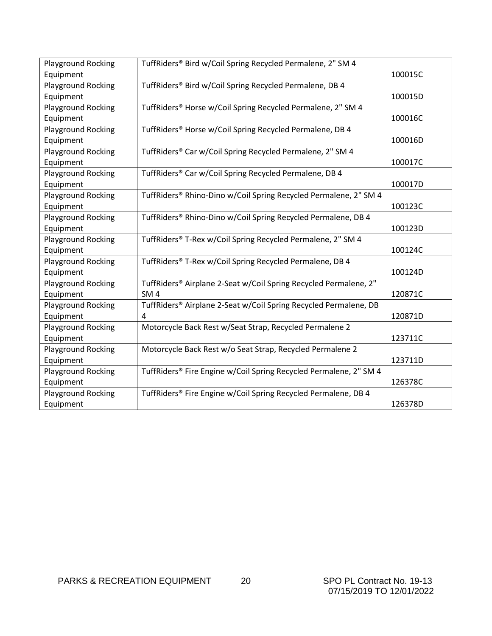| Playground Rocking        | TuffRiders® Bird w/Coil Spring Recycled Permalene, 2" SM 4                   |         |
|---------------------------|------------------------------------------------------------------------------|---------|
| Equipment                 |                                                                              | 100015C |
| <b>Playground Rocking</b> | TuffRiders® Bird w/Coil Spring Recycled Permalene, DB 4                      |         |
| Equipment                 |                                                                              | 100015D |
| Playground Rocking        | TuffRiders® Horse w/Coil Spring Recycled Permalene, 2" SM 4                  |         |
| Equipment                 |                                                                              | 100016C |
| Playground Rocking        | TuffRiders® Horse w/Coil Spring Recycled Permalene, DB 4                     |         |
| Equipment                 |                                                                              | 100016D |
| Playground Rocking        | TuffRiders® Car w/Coil Spring Recycled Permalene, 2" SM 4                    |         |
| Equipment                 |                                                                              | 100017C |
| Playground Rocking        | TuffRiders® Car w/Coil Spring Recycled Permalene, DB 4                       |         |
| Equipment                 |                                                                              | 100017D |
| <b>Playground Rocking</b> | TuffRiders® Rhino-Dino w/Coil Spring Recycled Permalene, 2" SM 4             |         |
| Equipment                 |                                                                              | 100123C |
| <b>Playground Rocking</b> | TuffRiders® Rhino-Dino w/Coil Spring Recycled Permalene, DB 4                |         |
| Equipment                 |                                                                              | 100123D |
| <b>Playground Rocking</b> | TuffRiders® T-Rex w/Coil Spring Recycled Permalene, 2" SM 4                  |         |
| Equipment                 |                                                                              | 100124C |
| <b>Playground Rocking</b> | TuffRiders® T-Rex w/Coil Spring Recycled Permalene, DB 4                     |         |
| Equipment                 |                                                                              | 100124D |
| <b>Playground Rocking</b> | TuffRiders <sup>®</sup> Airplane 2-Seat w/Coil Spring Recycled Permalene, 2" |         |
| Equipment                 | SM <sub>4</sub>                                                              | 120871C |
| <b>Playground Rocking</b> | TuffRiders <sup>®</sup> Airplane 2-Seat w/Coil Spring Recycled Permalene, DB |         |
| Equipment                 | 4                                                                            | 120871D |
| Playground Rocking        | Motorcycle Back Rest w/Seat Strap, Recycled Permalene 2                      |         |
| Equipment                 |                                                                              | 123711C |
| <b>Playground Rocking</b> | Motorcycle Back Rest w/o Seat Strap, Recycled Permalene 2                    |         |
| Equipment                 |                                                                              | 123711D |
| <b>Playground Rocking</b> | TuffRiders® Fire Engine w/Coil Spring Recycled Permalene, 2" SM 4            |         |
| Equipment                 |                                                                              | 126378C |
| Playground Rocking        | TuffRiders® Fire Engine w/Coil Spring Recycled Permalene, DB 4               |         |
| Equipment                 |                                                                              | 126378D |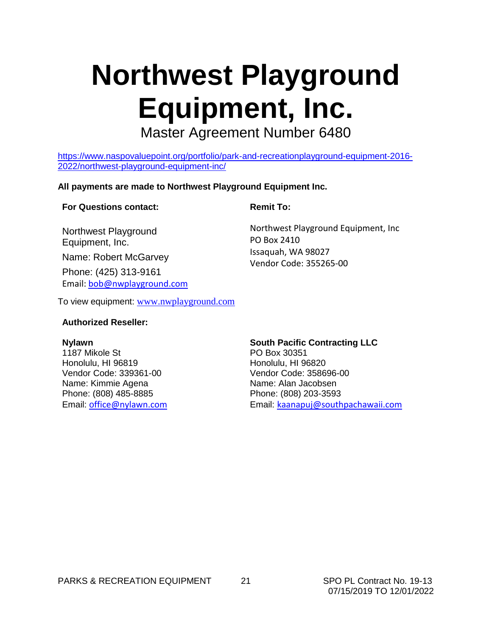# **Northwest Playground Equipment, Inc.**

Master Agreement Number 6480

[https://www.naspovaluepoint.org/portfolio/park-and-recreationplayground-equipment-2016-](https://www.naspovaluepoint.org/portfolio/park-and-recreationplayground-equipment-2016-2022/northwest-playground-equipment-inc/) [2022/northwest-playground-equipment-inc/](https://www.naspovaluepoint.org/portfolio/park-and-recreationplayground-equipment-2016-2022/northwest-playground-equipment-inc/)

#### **All payments are made to Northwest Playground Equipment Inc.**

#### **For Questions contact:**

Northwest Playground Equipment, Inc.

Name: Robert McGarvey

Phone: (425) 313-9161 Email: [bob@nwplayground.com](mailto:bob@nwplayground.com) **Remit To:**

Northwest Playground Equipment, Inc PO Box 2410 Issaquah, WA 98027 Vendor Code: 355265-00

To view equipment: [www.nwplayground.com](http://www.nwplayground.com/)

#### **Authorized Reseller:**

#### **Nylawn**

1187 Mikole St Honolulu, HI 96819 Vendor Code: 339361-00 Name: Kimmie Agena Phone: (808) 485-8885 Email: o[ffice@nylawn.com](mailto:office@nylawn.com)

**South Pacific Contracting LLC** PO Box 30351 Honolulu, HI 96820 Vendor Code: 358696-00 Name: Alan Jacobsen Phone: (808) 203-3593 Email: [kaanapuj@southpachawaii.com](mailto:kaanapuj@southpachawaii.com)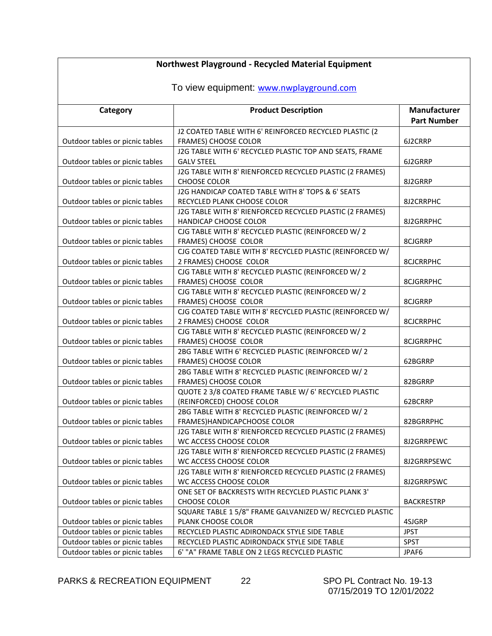| Northwest Playground - Recycled Material Equipment |                                                                                    |                     |
|----------------------------------------------------|------------------------------------------------------------------------------------|---------------------|
| To view equipment: www.nwplayground.com            |                                                                                    |                     |
|                                                    |                                                                                    |                     |
| Category                                           | <b>Product Description</b>                                                         | <b>Manufacturer</b> |
|                                                    |                                                                                    | <b>Part Number</b>  |
| Outdoor tables or picnic tables                    | J2 COATED TABLE WITH 6' REINFORCED RECYCLED PLASTIC (2<br>FRAMES) CHOOSE COLOR     | 6J2CRRP             |
|                                                    | J2G TABLE WITH 6' RECYCLED PLASTIC TOP AND SEATS, FRAME                            |                     |
| Outdoor tables or picnic tables                    | <b>GALV STEEL</b>                                                                  | 6J2GRRP             |
|                                                    | J2G TABLE WITH 8' RIENFORCED RECYCLED PLASTIC (2 FRAMES)                           |                     |
| Outdoor tables or picnic tables                    | <b>CHOOSE COLOR</b>                                                                | 8J2GRRP             |
|                                                    | J2G HANDICAP COATED TABLE WITH 8' TOPS & 6' SEATS                                  |                     |
| Outdoor tables or picnic tables                    | RECYCLED PLANK CHOOSE COLOR                                                        | 8J2CRRPHC           |
|                                                    | J2G TABLE WITH 8' RIENFORCED RECYCLED PLASTIC (2 FRAMES)                           |                     |
| Outdoor tables or picnic tables                    | <b>HANDICAP CHOOSE COLOR</b>                                                       | 8J2GRRPHC           |
|                                                    | CJG TABLE WITH 8' RECYCLED PLASTIC (REINFORCED W/ 2                                |                     |
| Outdoor tables or picnic tables                    | FRAMES) CHOOSE COLOR                                                               | 8CJGRRP             |
| Outdoor tables or picnic tables                    | CJG COATED TABLE WITH 8' RECYCLED PLASTIC (REINFORCED W/<br>2 FRAMES) CHOOSE COLOR | <b>8CJCRRPHC</b>    |
|                                                    | CJG TABLE WITH 8' RECYCLED PLASTIC (REINFORCED W/2                                 |                     |
| Outdoor tables or picnic tables                    | FRAMES) CHOOSE COLOR                                                               | 8CJGRRPHC           |
|                                                    | CJG TABLE WITH 8' RECYCLED PLASTIC (REINFORCED W/ 2                                |                     |
| Outdoor tables or picnic tables                    | FRAMES) CHOOSE COLOR                                                               | 8CJGRRP             |
|                                                    | CJG COATED TABLE WITH 8' RECYCLED PLASTIC (REINFORCED W/                           |                     |
| Outdoor tables or picnic tables                    | 2 FRAMES) CHOOSE COLOR                                                             | <b>8CJCRRPHC</b>    |
|                                                    | CJG TABLE WITH 8' RECYCLED PLASTIC (REINFORCED W/ 2                                |                     |
| Outdoor tables or picnic tables                    | FRAMES) CHOOSE COLOR                                                               | 8CJGRRPHC           |
|                                                    | 2BG TABLE WITH 6' RECYCLED PLASTIC (REINFORCED W/2                                 |                     |
| Outdoor tables or picnic tables                    | FRAMES) CHOOSE COLOR                                                               | 62BGRRP             |
|                                                    | 2BG TABLE WITH 8' RECYCLED PLASTIC (REINFORCED W/ 2                                |                     |
| Outdoor tables or picnic tables                    | FRAMES) CHOOSE COLOR<br>QUOTE 2 3/8 COATED FRAME TABLE W/ 6' RECYCLED PLASTIC      | 82BGRRP             |
| Outdoor tables or picnic tables                    | (REINFORCED) CHOOSE COLOR                                                          | 62BCRRP             |
|                                                    | 2BG TABLE WITH 8' RECYCLED PLASTIC (REINFORCED W/ 2                                |                     |
| Outdoor tables or picnic tables                    | FRAMES) HANDICAPCHOOSE COLOR                                                       | 82BGRRPHC           |
|                                                    | J2G TABLE WITH 8' RIENFORCED RECYCLED PLASTIC (2 FRAMES)                           |                     |
| Outdoor tables or picnic tables                    | WC ACCESS CHOOSE COLOR                                                             | 8J2GRRPEWC          |
|                                                    | J2G TABLE WITH 8' RIENFORCED RECYCLED PLASTIC (2 FRAMES)                           |                     |
| Outdoor tables or picnic tables                    | WC ACCESS CHOOSE COLOR                                                             | 8J2GRRPSEWC         |
|                                                    | J2G TABLE WITH 8' RIENFORCED RECYCLED PLASTIC (2 FRAMES)                           |                     |
| Outdoor tables or picnic tables                    | WC ACCESS CHOOSE COLOR                                                             | 8J2GRRPSWC          |
|                                                    | ONE SET OF BACKRESTS WITH RECYCLED PLASTIC PLANK 3'                                |                     |
| Outdoor tables or picnic tables                    | CHOOSE COLOR<br>SQUARE TABLE 1 5/8" FRAME GALVANIZED W/ RECYCLED PLASTIC           | <b>BACKRESTRP</b>   |
| Outdoor tables or picnic tables                    | PLANK CHOOSE COLOR                                                                 | 4SJGRP              |
| Outdoor tables or picnic tables                    | RECYCLED PLASTIC ADIRONDACK STYLE SIDE TABLE                                       | <b>JPST</b>         |
| Outdoor tables or picnic tables                    | RECYCLED PLASTIC ADIRONDACK STYLE SIDE TABLE                                       | <b>SPST</b>         |
| Outdoor tables or picnic tables                    | 6' "A" FRAME TABLE ON 2 LEGS RECYCLED PLASTIC                                      | JPAF6               |

PARKS & RECREATION EQUIPMENT 22 SPO PL Contract No. 19-13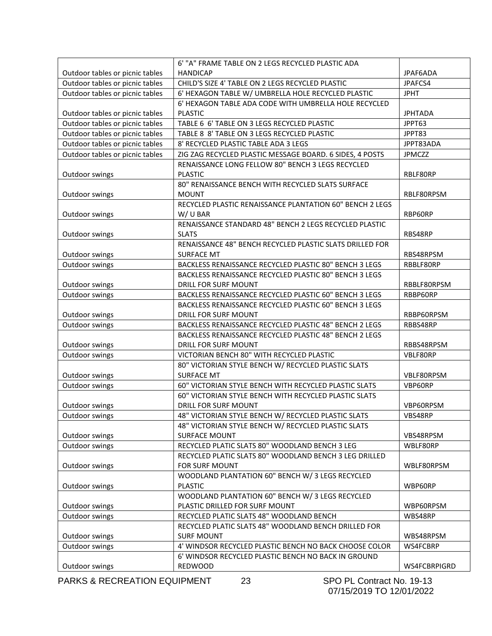|                                 | 6' "A" FRAME TABLE ON 2 LEGS RECYCLED PLASTIC ADA        |                |
|---------------------------------|----------------------------------------------------------|----------------|
| Outdoor tables or picnic tables | <b>HANDICAP</b>                                          | JPAF6ADA       |
| Outdoor tables or picnic tables | CHILD'S SIZE 4' TABLE ON 2 LEGS RECYCLED PLASTIC         | JPAFCS4        |
| Outdoor tables or picnic tables | 6' HEXAGON TABLE W/ UMBRELLA HOLE RECYCLED PLASTIC       | <b>JPHT</b>    |
|                                 | 6' HEXAGON TABLE ADA CODE WITH UMBRELLA HOLE RECYCLED    |                |
| Outdoor tables or picnic tables | <b>PLASTIC</b>                                           | <b>JPHTADA</b> |
| Outdoor tables or picnic tables | TABLE 6 6' TABLE ON 3 LEGS RECYCLED PLASTIC              | JPPT63         |
| Outdoor tables or picnic tables | TABLE 8 8' TABLE ON 3 LEGS RECYCLED PLASTIC              | JPPT83         |
| Outdoor tables or picnic tables | 8' RECYCLED PLASTIC TABLE ADA 3 LEGS                     | JPPT83ADA      |
| Outdoor tables or picnic tables | ZIG ZAG RECYCLED PLASTIC MESSAGE BOARD. 6 SIDES, 4 POSTS | <b>JPMCZZ</b>  |
|                                 | RENAISSANCE LONG FELLOW 80" BENCH 3 LEGS RECYCLED        |                |
| Outdoor swings                  | <b>PLASTIC</b>                                           | RBLF80RP       |
|                                 | 80" RENAISSANCE BENCH WITH RECYCLED SLATS SURFACE        |                |
| Outdoor swings                  | <b>MOUNT</b>                                             | RBLF80RPSM     |
|                                 | RECYCLED PLASTIC RENAISSANCE PLANTATION 60" BENCH 2 LEGS |                |
| Outdoor swings                  | W/U BAR                                                  | RBP60RP        |
|                                 | RENAISSANCE STANDARD 48" BENCH 2 LEGS RECYCLED PLASTIC   |                |
| Outdoor swings                  | <b>SLATS</b>                                             | RBS48RP        |
|                                 | RENAISSANCE 48" BENCH RECYCLED PLASTIC SLATS DRILLED FOR |                |
| Outdoor swings                  | <b>SURFACE MT</b>                                        | RBS48RPSM      |
| Outdoor swings                  | BACKLESS RENAISSANCE RECYCLED PLASTIC 80" BENCH 3 LEGS   | RBBLF80RP      |
|                                 | BACKLESS RENAISSANCE RECYCLED PLASTIC 80" BENCH 3 LEGS   |                |
| Outdoor swings                  | DRILL FOR SURF MOUNT                                     | RBBLF80RPSM    |
| Outdoor swings                  | BACKLESS RENAISSANCE RECYCLED PLASTIC 60" BENCH 3 LEGS   | RBBP60RP       |
|                                 | BACKLESS RENAISSANCE RECYCLED PLASTIC 60" BENCH 3 LEGS   |                |
| Outdoor swings                  | DRILL FOR SURF MOUNT                                     | RBBP60RPSM     |
| Outdoor swings                  | BACKLESS RENAISSANCE RECYCLED PLASTIC 48" BENCH 2 LEGS   | RBBS48RP       |
|                                 | BACKLESS RENAISSANCE RECYCLED PLASTIC 48" BENCH 2 LEGS   |                |
| Outdoor swings                  | DRILL FOR SURF MOUNT                                     | RBBS48RPSM     |
| Outdoor swings                  | VICTORIAN BENCH 80" WITH RECYCLED PLASTIC                | VBLF80RP       |
|                                 | 80" VICTORIAN STYLE BENCH W/ RECYCLED PLASTIC SLATS      |                |
| Outdoor swings                  | <b>SURFACE MT</b>                                        | VBLF80RPSM     |
| Outdoor swings                  | 60" VICTORIAN STYLE BENCH WITH RECYCLED PLASTIC SLATS    | VBP60RP        |
|                                 | 60" VICTORIAN STYLE BENCH WITH RECYCLED PLASTIC SLATS    |                |
| Outdoor swings                  | DRILL FOR SURF MOUNT                                     | VBP60RPSM      |
| Outdoor swings                  | 48" VICTORIAN STYLE BENCH W/ RECYCLED PLASTIC SLATS      | VBS48RP        |
|                                 | 48" VICTORIAN STYLE BENCH W/ RECYCLED PLASTIC SLATS      |                |
| Outdoor swings                  | <b>SURFACE MOUNT</b>                                     | VBS48RPSM      |
| Outdoor swings                  | RECYCLED PLATIC SLATS 80" WOODLAND BENCH 3 LEG           | WBLF80RP       |
|                                 | RECYCLED PLATIC SLATS 80" WOODLAND BENCH 3 LEG DRILLED   |                |
| Outdoor swings                  | FOR SURF MOUNT                                           | WBLF80RPSM     |
|                                 | WOODLAND PLANTATION 60" BENCH W/ 3 LEGS RECYCLED         |                |
| Outdoor swings                  | <b>PLASTIC</b>                                           | WBP60RP        |
|                                 | WOODLAND PLANTATION 60" BENCH W/ 3 LEGS RECYCLED         |                |
| Outdoor swings                  | PLASTIC DRILLED FOR SURF MOUNT                           | WBP60RPSM      |
| Outdoor swings                  | RECYCLED PLATIC SLATS 48" WOODLAND BENCH                 | WBS48RP        |
|                                 | RECYCLED PLATIC SLATS 48" WOODLAND BENCH DRILLED FOR     |                |
| Outdoor swings                  | <b>SURF MOUNT</b>                                        | WBS48RPSM      |
| Outdoor swings                  | 4' WINDSOR RECYCLED PLASTIC BENCH NO BACK CHOOSE COLOR   | WS4FCBRP       |
|                                 | 6' WINDSOR RECYCLED PLASTIC BENCH NO BACK IN GROUND      |                |
| Outdoor swings                  | REDWOOD                                                  | WS4FCBRPIGRD   |
|                                 |                                                          |                |

PARKS & RECREATION EQUIPMENT 23 SPO PL Contract No. 19-13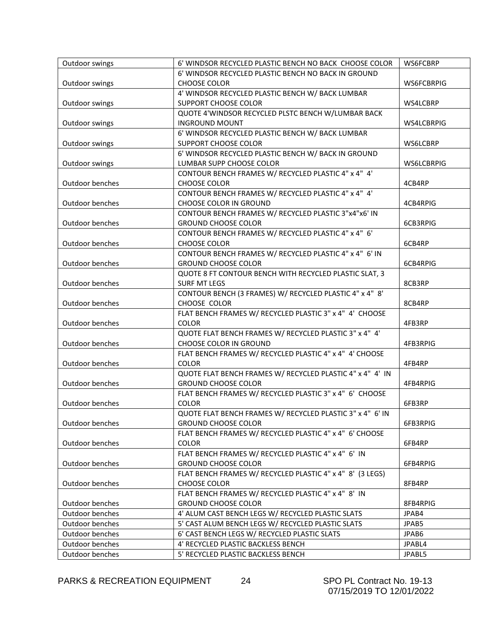| Outdoor swings  | 6' WINDSOR RECYCLED PLASTIC BENCH NO BACK CHOOSE COLOR    | WS6FCBRP          |
|-----------------|-----------------------------------------------------------|-------------------|
|                 | 6' WINDSOR RECYCLED PLASTIC BENCH NO BACK IN GROUND       |                   |
| Outdoor swings  | <b>CHOOSE COLOR</b>                                       | WS6FCBRPIG        |
|                 | 4' WINDSOR RECYCLED PLASTIC BENCH W/ BACK LUMBAR          |                   |
| Outdoor swings  | SUPPORT CHOOSE COLOR                                      | WS4LCBRP          |
|                 | QUOTE 4'WINDSOR RECYCLED PLSTC BENCH W/LUMBAR BACK        |                   |
| Outdoor swings  | <b>INGROUND MOUNT</b>                                     | WS4LCBRPIG        |
|                 | 6' WINDSOR RECYCLED PLASTIC BENCH W/ BACK LUMBAR          |                   |
| Outdoor swings  | SUPPORT CHOOSE COLOR                                      | WS6LCBRP          |
|                 | 6' WINDSOR RECYCLED PLASTIC BENCH W/ BACK IN GROUND       |                   |
| Outdoor swings  | LUMBAR SUPP CHOOSE COLOR                                  | <b>WS6LCBRPIG</b> |
|                 | CONTOUR BENCH FRAMES W/ RECYCLED PLASTIC 4" x 4" 4'       |                   |
| Outdoor benches | CHOOSE COLOR                                              | 4CB4RP            |
|                 | CONTOUR BENCH FRAMES W/ RECYCLED PLASTIC 4" x 4" 4'       |                   |
| Outdoor benches | CHOOSE COLOR IN GROUND                                    | 4CB4RPIG          |
|                 | CONTOUR BENCH FRAMES W/ RECYCLED PLASTIC 3"x4"x6' IN      |                   |
| Outdoor benches | <b>GROUND CHOOSE COLOR</b>                                | 6CB3RPIG          |
|                 | CONTOUR BENCH FRAMES W/ RECYCLED PLASTIC 4" x 4" 6'       |                   |
| Outdoor benches | CHOOSE COLOR                                              | 6CB4RP            |
|                 | CONTOUR BENCH FRAMES W/ RECYCLED PLASTIC 4" x 4" 6' IN    |                   |
| Outdoor benches | <b>GROUND CHOOSE COLOR</b>                                | 6CB4RPIG          |
|                 | QUOTE 8 FT CONTOUR BENCH WITH RECYCLED PLASTIC SLAT, 3    |                   |
| Outdoor benches | <b>SURF MT LEGS</b>                                       | 8CB3RP            |
|                 | CONTOUR BENCH (3 FRAMES) W/ RECYCLED PLASTIC 4" x 4" 8'   |                   |
| Outdoor benches | CHOOSE COLOR                                              | 8CB4RP            |
|                 | FLAT BENCH FRAMES W/ RECYCLED PLASTIC 3" x 4" 4' CHOOSE   |                   |
| Outdoor benches | <b>COLOR</b>                                              | 4FB3RP            |
|                 | QUOTE FLAT BENCH FRAMES W/ RECYCLED PLASTIC 3" x 4" 4'    |                   |
| Outdoor benches | CHOOSE COLOR IN GROUND                                    | 4FB3RPIG          |
|                 | FLAT BENCH FRAMES W/ RECYCLED PLASTIC 4" x 4" 4' CHOOSE   |                   |
| Outdoor benches | COLOR                                                     | 4FB4RP            |
|                 | QUOTE FLAT BENCH FRAMES W/ RECYCLED PLASTIC 4" x 4" 4' IN |                   |
| Outdoor benches | <b>GROUND CHOOSE COLOR</b>                                | 4FB4RPIG          |
|                 | FLAT BENCH FRAMES W/ RECYCLED PLASTIC 3" x 4" 6' CHOOSE   |                   |
| Outdoor benches | COLOR                                                     | 6FB3RP            |
|                 | QUOTE FLAT BENCH FRAMES W/ RECYCLED PLASTIC 3" x 4" 6' IN |                   |
| Outdoor benches | <b>GROUND CHOOSE COLOR</b>                                | 6FB3RPIG          |
|                 | FLAT BENCH FRAMES W/ RECYCLED PLASTIC 4" x 4" 6' CHOOSE   |                   |
| Outdoor benches | <b>COLOR</b>                                              | 6FB4RP            |
|                 | FLAT BENCH FRAMES W/ RECYCLED PLASTIC 4" x 4" 6' IN       |                   |
| Outdoor benches | <b>GROUND CHOOSE COLOR</b>                                | 6FB4RPIG          |
|                 | FLAT BENCH FRAMES W/ RECYCLED PLASTIC 4" x 4" 8' (3 LEGS) |                   |
|                 |                                                           |                   |
| Outdoor benches | CHOOSE COLOR                                              | 8FB4RP            |
|                 | FLAT BENCH FRAMES W/ RECYCLED PLASTIC 4" x 4" 8' IN       |                   |
| Outdoor benches | <b>GROUND CHOOSE COLOR</b>                                | 8FB4RPIG          |
| Outdoor benches | 4' ALUM CAST BENCH LEGS W/ RECYCLED PLASTIC SLATS         | JPAB4             |
| Outdoor benches | 5' CAST ALUM BENCH LEGS W/ RECYCLED PLASTIC SLATS         | JPAB5             |
| Outdoor benches | 6' CAST BENCH LEGS W/ RECYCLED PLASTIC SLATS              | JPAB6             |
| Outdoor benches | 4' RECYCLED PLASTIC BACKLESS BENCH                        | JPABL4            |
| Outdoor benches | 5' RECYCLED PLASTIC BACKLESS BENCH                        | JPABL5            |

PARKS & RECREATION EQUIPMENT 24 SPO PL Contract No. 19-13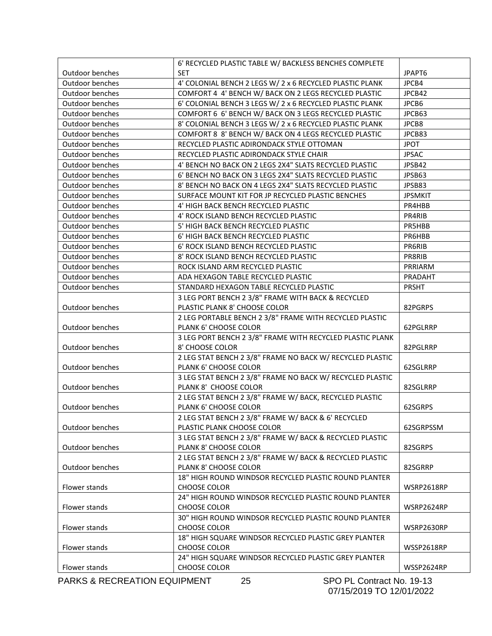|                        | 6' RECYCLED PLASTIC TABLE W/ BACKLESS BENCHES COMPLETE    |                |
|------------------------|-----------------------------------------------------------|----------------|
| Outdoor benches        | <b>SET</b>                                                | JPAPT6         |
| <b>Outdoor benches</b> | 4' COLONIAL BENCH 2 LEGS W/ 2 x 6 RECYCLED PLASTIC PLANK  | JPCB4          |
| Outdoor benches        | COMFORT 4 4' BENCH W/ BACK ON 2 LEGS RECYCLED PLASTIC     | JPCB42         |
| Outdoor benches        | 6' COLONIAL BENCH 3 LEGS W/ 2 x 6 RECYCLED PLASTIC PLANK  | JPCB6          |
| Outdoor benches        | COMFORT 6 6' BENCH W/ BACK ON 3 LEGS RECYCLED PLASTIC     | JPCB63         |
| Outdoor benches        | 8' COLONIAL BENCH 3 LEGS W/ 2 x 6 RECYCLED PLASTIC PLANK  | JPCB8          |
| Outdoor benches        | COMFORT 8 8' BENCH W/ BACK ON 4 LEGS RECYCLED PLASTIC     | JPCB83         |
| Outdoor benches        | RECYCLED PLASTIC ADIRONDACK STYLE OTTOMAN                 | <b>JPOT</b>    |
| Outdoor benches        | RECYCLED PLASTIC ADIRONDACK STYLE CHAIR                   | <b>JPSAC</b>   |
| Outdoor benches        | 4' BENCH NO BACK ON 2 LEGS 2X4" SLATS RECYCLED PLASTIC    | JPSB42         |
| Outdoor benches        | 6' BENCH NO BACK ON 3 LEGS 2X4" SLATS RECYCLED PLASTIC    | JPSB63         |
| Outdoor benches        | 8' BENCH NO BACK ON 4 LEGS 2X4" SLATS RECYCLED PLASTIC    | JPSB83         |
| Outdoor benches        | SURFACE MOUNT KIT FOR JP RECYCLED PLASTIC BENCHES         | <b>JPSMKIT</b> |
| Outdoor benches        | 4' HIGH BACK BENCH RECYCLED PLASTIC                       | PR4HBB         |
| Outdoor benches        | 4' ROCK ISLAND BENCH RECYCLED PLASTIC                     | PR4RIB         |
| Outdoor benches        | 5' HIGH BACK BENCH RECYCLED PLASTIC                       | PR5HBB         |
| <b>Outdoor benches</b> | 6' HIGH BACK BENCH RECYCLED PLASTIC                       | PR6HBB         |
| Outdoor benches        | 6' ROCK ISLAND BENCH RECYCLED PLASTIC                     | PR6RIB         |
| Outdoor benches        | 8' ROCK ISLAND BENCH RECYCLED PLASTIC                     | PR8RIB         |
| Outdoor benches        | ROCK ISLAND ARM RECYCLED PLASTIC                          | PRRIARM        |
| Outdoor benches        | ADA HEXAGON TABLE RECYCLED PLASTIC                        | PRADAHT        |
| Outdoor benches        | STANDARD HEXAGON TABLE RECYCLED PLASTIC                   | PRSHT          |
|                        | 3 LEG PORT BENCH 2 3/8" FRAME WITH BACK & RECYCLED        |                |
| Outdoor benches        | PLASTIC PLANK 8' CHOOSE COLOR                             | 82PGRPS        |
|                        | 2 LEG PORTABLE BENCH 2 3/8" FRAME WITH RECYCLED PLASTIC   |                |
| Outdoor benches        | PLANK 6' CHOOSE COLOR                                     | 62PGLRRP       |
|                        | 3 LEG PORT BENCH 2 3/8" FRAME WITH RECYCLED PLASTIC PLANK |                |
| Outdoor benches        | 8' CHOOSE COLOR                                           | 82PGLRRP       |
|                        | 2 LEG STAT BENCH 2 3/8" FRAME NO BACK W/ RECYCLED PLASTIC |                |
| Outdoor benches        | PLANK 6' CHOOSE COLOR                                     | 62SGLRRP       |
|                        | 3 LEG STAT BENCH 2 3/8" FRAME NO BACK W/ RECYCLED PLASTIC |                |
| Outdoor benches        | PLANK 8' CHOOSE COLOR                                     | 82SGLRRP       |
|                        | 2 LEG STAT BENCH 2 3/8" FRAME W/ BACK, RECYCLED PLASTIC   |                |
| Outdoor benches        | PLANK 6' CHOOSE COLOR                                     | 62SGRPS        |
|                        | 2 LEG STAT BENCH 2 3/8" FRAME W/ BACK & 6' RECYCLED       |                |
| Outdoor benches        | PLASTIC PLANK CHOOSE COLOR                                | 62SGRPSSM      |
|                        | 3 LEG STAT BENCH 2 3/8" FRAME W/ BACK & RECYCLED PLASTIC  |                |
| Outdoor benches        | PLANK 8' CHOOSE COLOR                                     | 82SGRPS        |
|                        | 2 LEG STAT BENCH 2 3/8" FRAME W/ BACK & RECYCLED PLASTIC  |                |
| Outdoor benches        | PLANK 8' CHOOSE COLOR                                     | 82SGRRP        |
|                        | 18" HIGH ROUND WINDSOR RECYCLED PLASTIC ROUND PLANTER     |                |
| Flower stands          | CHOOSE COLOR                                              | WSRP2618RP     |
|                        | 24" HIGH ROUND WINDSOR RECYCLED PLASTIC ROUND PLANTER     |                |
| Flower stands          | CHOOSE COLOR                                              | WSRP2624RP     |
|                        | 30" HIGH ROUND WINDSOR RECYCLED PLASTIC ROUND PLANTER     |                |
| Flower stands          | CHOOSE COLOR                                              | WSRP2630RP     |
|                        | 18" HIGH SQUARE WINDSOR RECYCLED PLASTIC GREY PLANTER     |                |
| Flower stands          | CHOOSE COLOR                                              | WSSP2618RP     |
|                        | 24" HIGH SQUARE WINDSOR RECYCLED PLASTIC GREY PLANTER     |                |
| Flower stands          | CHOOSE COLOR                                              | WSSP2624RP     |
|                        |                                                           |                |

PARKS & RECREATION EQUIPMENT 25 SPO PL Contract No. 19-13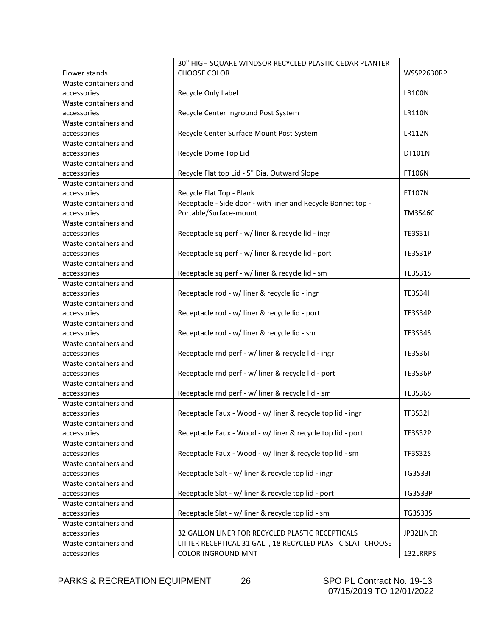|                      | 30" HIGH SQUARE WINDSOR RECYCLED PLASTIC CEDAR PLANTER       |                |
|----------------------|--------------------------------------------------------------|----------------|
| Flower stands        | <b>CHOOSE COLOR</b>                                          | WSSP2630RP     |
| Waste containers and |                                                              |                |
| accessories          | Recycle Only Label                                           | <b>LB100N</b>  |
| Waste containers and |                                                              |                |
| accessories          | Recycle Center Inground Post System                          | <b>LR110N</b>  |
| Waste containers and |                                                              |                |
| accessories          | Recycle Center Surface Mount Post System                     | <b>LR112N</b>  |
| Waste containers and |                                                              |                |
| accessories          | Recycle Dome Top Lid                                         | DT101N         |
| Waste containers and |                                                              |                |
| accessories          | Recycle Flat top Lid - 5" Dia. Outward Slope                 | <b>FT106N</b>  |
| Waste containers and |                                                              |                |
| accessories          | Recycle Flat Top - Blank                                     | FT107N         |
| Waste containers and | Receptacle - Side door - with liner and Recycle Bonnet top - |                |
| accessories          | Portable/Surface-mount                                       | <b>TM3S46C</b> |
| Waste containers and |                                                              |                |
| accessories          | Receptacle sq perf - w/ liner & recycle lid - ingr           | <b>TE3S31I</b> |
| Waste containers and |                                                              |                |
| accessories          | Receptacle sq perf - w/ liner & recycle lid - port           | <b>TE3S31P</b> |
| Waste containers and |                                                              |                |
| accessories          | Receptacle sq perf - w/ liner & recycle lid - sm             | <b>TE3S31S</b> |
| Waste containers and |                                                              |                |
| accessories          | Receptacle rod - w/ liner & recycle lid - ingr               | <b>TE3S34I</b> |
| Waste containers and |                                                              |                |
| accessories          | Receptacle rod - w/ liner & recycle lid - port               | <b>TE3S34P</b> |
| Waste containers and |                                                              |                |
| accessories          | Receptacle rod - w/ liner & recycle lid - sm                 | <b>TE3S34S</b> |
| Waste containers and |                                                              |                |
| accessories          | Receptacle rnd perf - w/ liner & recycle lid - ingr          | <b>TE3S36I</b> |
| Waste containers and |                                                              |                |
| accessories          | Receptacle rnd perf - w/ liner & recycle lid - port          | <b>TE3S36P</b> |
| Waste containers and |                                                              |                |
| accessories          | Receptacle rnd perf - w/ liner & recycle lid - sm            | <b>TE3S36S</b> |
| Waste containers and |                                                              |                |
| accessories          | Receptacle Faux - Wood - w/ liner & recycle top lid - ingr   | <b>TF3S32I</b> |
| Waste containers and |                                                              |                |
| accessories          | Receptacle Faux - Wood - w/ liner & recycle top lid - port   | <b>TF3S32P</b> |
| Waste containers and |                                                              |                |
| accessories          | Receptacle Faux - Wood - w/ liner & recycle top lid - sm     | <b>TF3S32S</b> |
| Waste containers and |                                                              |                |
| accessories          | Receptacle Salt - w/ liner & recycle top lid - ingr          | <b>TG3S33I</b> |
| Waste containers and |                                                              |                |
| accessories          | Receptacle Slat - w/ liner & recycle top lid - port          | <b>TG3S33P</b> |
| Waste containers and |                                                              |                |
| accessories          | Receptacle Slat - w/ liner & recycle top lid - sm            | TG3S33S        |
| Waste containers and |                                                              |                |
| accessories          | 32 GALLON LINER FOR RECYCLED PLASTIC RECEPTICALS             | JP32LINER      |
| Waste containers and | LITTER RECEPTICAL 31 GAL., 18 RECYCLED PLASTIC SLAT CHOOSE   |                |
| accessories          | <b>COLOR INGROUND MNT</b>                                    | 132LRRPS       |

PARKS & RECREATION EQUIPMENT 26 SPO PL Contract No. 19-13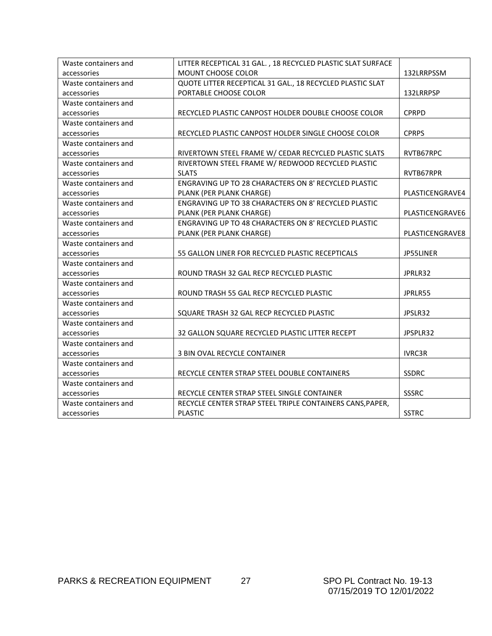| Waste containers and | LITTER RECEPTICAL 31 GAL., 18 RECYCLED PLASTIC SLAT SURFACE |                 |
|----------------------|-------------------------------------------------------------|-----------------|
| accessories          | MOUNT CHOOSE COLOR                                          | 132LRRPSSM      |
| Waste containers and | QUOTE LITTER RECEPTICAL 31 GAL., 18 RECYCLED PLASTIC SLAT   |                 |
| accessories          | PORTABLE CHOOSE COLOR                                       | 132LRRPSP       |
| Waste containers and |                                                             |                 |
| accessories          | RECYCLED PLASTIC CANPOST HOLDER DOUBLE CHOOSE COLOR         | <b>CPRPD</b>    |
| Waste containers and |                                                             |                 |
| accessories          | RECYCLED PLASTIC CANPOST HOLDER SINGLE CHOOSE COLOR         | <b>CPRPS</b>    |
| Waste containers and |                                                             |                 |
| accessories          | RIVERTOWN STEEL FRAME W/ CEDAR RECYCLED PLASTIC SLATS       | RVTB67RPC       |
| Waste containers and | RIVERTOWN STEEL FRAME W/ REDWOOD RECYCLED PLASTIC           |                 |
| accessories          | <b>SLATS</b>                                                | RVTB67RPR       |
| Waste containers and | ENGRAVING UP TO 28 CHARACTERS ON 8' RECYCLED PLASTIC        |                 |
| accessories          | PLANK (PER PLANK CHARGE)                                    | PLASTICENGRAVE4 |
| Waste containers and | ENGRAVING UP TO 38 CHARACTERS ON 8' RECYCLED PLASTIC        |                 |
| accessories          | PLANK (PER PLANK CHARGE)                                    | PLASTICENGRAVE6 |
| Waste containers and | ENGRAVING UP TO 48 CHARACTERS ON 8' RECYCLED PLASTIC        |                 |
| accessories          | PLANK (PER PLANK CHARGE)                                    | PLASTICENGRAVE8 |
| Waste containers and |                                                             |                 |
| accessories          | 55 GALLON LINER FOR RECYCLED PLASTIC RECEPTICALS            | JP55LINER       |
| Waste containers and |                                                             |                 |
| accessories          | ROUND TRASH 32 GAL RECP RECYCLED PLASTIC                    | JPRLR32         |
| Waste containers and |                                                             |                 |
| accessories          | ROUND TRASH 55 GAL RECP RECYCLED PLASTIC                    | JPRLR55         |
| Waste containers and |                                                             |                 |
| accessories          | SQUARE TRASH 32 GAL RECP RECYCLED PLASTIC                   | JPSLR32         |
| Waste containers and |                                                             |                 |
| accessories          | 32 GALLON SQUARE RECYCLED PLASTIC LITTER RECEPT             | JPSPLR32        |
| Waste containers and |                                                             |                 |
| accessories          | 3 BIN OVAL RECYCLE CONTAINER                                | <b>IVRC3R</b>   |
| Waste containers and |                                                             |                 |
| accessories          | RECYCLE CENTER STRAP STEEL DOUBLE CONTAINERS                | <b>SSDRC</b>    |
| Waste containers and |                                                             |                 |
| accessories          | RECYCLE CENTER STRAP STEEL SINGLE CONTAINER                 | <b>SSSRC</b>    |
| Waste containers and | RECYCLE CENTER STRAP STEEL TRIPLE CONTAINERS CANS, PAPER,   |                 |
| accessories          | <b>PLASTIC</b>                                              | <b>SSTRC</b>    |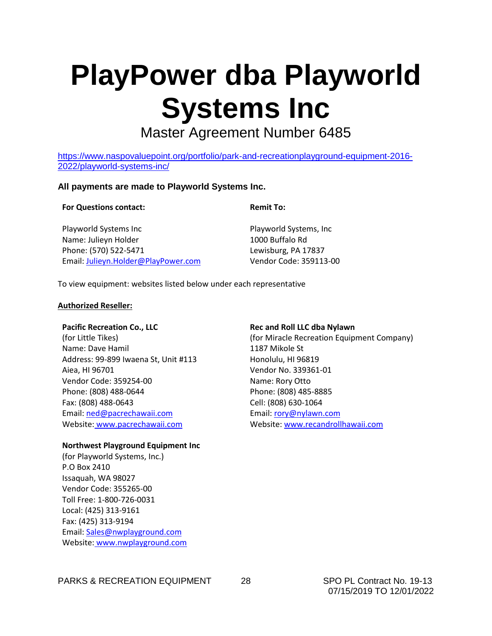### **PlayPower dba Playworld Systems Inc**

Master Agreement Number 6485

[https://www.naspovaluepoint.org/portfolio/park-and-recreationplayground-equipment-2016-](https://www.naspovaluepoint.org/portfolio/park-and-recreationplayground-equipment-2016-2022/playworld-systems-inc/) [2022/playworld-systems-inc/](https://www.naspovaluepoint.org/portfolio/park-and-recreationplayground-equipment-2016-2022/playworld-systems-inc/)

#### **All payments are made to Playworld Systems Inc.**

#### **For Questions contact:**

#### **Remit To:**

Playworld Systems Inc Name: Julieyn Holder Phone: (570) 522-5471 Email: [Julieyn.Holder@PlayPower.com](mailto:Julieyn.Holder@PlayPower.com)

Playworld Systems, Inc 1000 Buffalo Rd Lewisburg, PA 17837 Vendor Code: 359113-00

To view equipment: websites listed below under each representative

#### **Authorized Reseller:**

#### **Pacific Recreation Co., LLC**

(for Little Tikes) Name: Dave Hamil Address: 99-899 Iwaena St, Unit #113 Aiea, HI 96701 Vendor Code: 359254-00 Phone: (808) 488-0644 Fax: (808) 488-0643 Email: [ned@pacrechawaii.com](mailto:ned@pacrechawaii.com) Website: www.pacrechawaii.com

#### **Northwest Playground Equipment Inc**

(for Playworld Systems, Inc.) P.O Box 2410 Issaquah, WA 98027 Vendor Code: 355265-00 Toll Free: 1-800-726-0031 Local: (425) 313-9161 Fax: (425) 313-9194 Email: [Sales@nwplayground.com](mailto:Sales@nwplayground.com) Website: [www.nwplayground.com](http://www.nwplayground.com/)

#### **Rec and Roll LLC dba Nylawn**

(for Miracle Recreation Equipment Company) 1187 Mikole St Honolulu, HI 96819 Vendor No. 339361-01 Name: Rory Otto Phone: (808) 485-8885 Cell: (808) 630-1064 Email: [rory@nylawn.com](mailto:rory@nylawn.com) Website[: www.recandrollhawaii.com](http://www.recandrollhawaii.com/)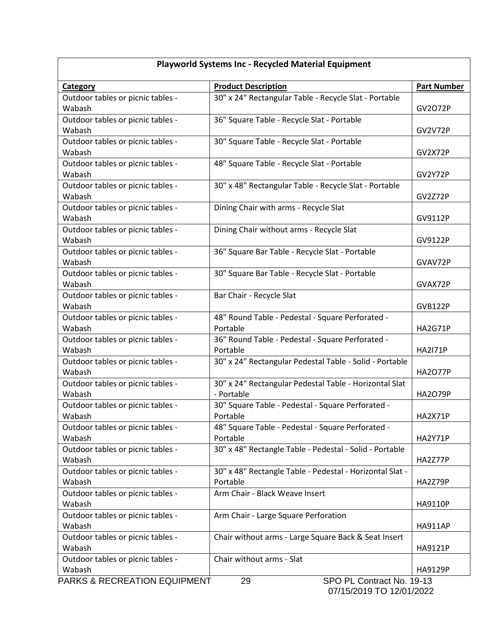| <b>Playworld Systems Inc - Recycled Material Equipment</b> |                                                                     |                    |  |
|------------------------------------------------------------|---------------------------------------------------------------------|--------------------|--|
| <b>Category</b>                                            | <b>Product Description</b>                                          | <b>Part Number</b> |  |
| Outdoor tables or picnic tables -                          | 30" x 24" Rectangular Table - Recycle Slat - Portable               |                    |  |
| Wabash                                                     |                                                                     | GV2072P            |  |
| Outdoor tables or picnic tables -                          | 36" Square Table - Recycle Slat - Portable                          |                    |  |
| Wabash                                                     |                                                                     | <b>GV2V72P</b>     |  |
| Outdoor tables or picnic tables -                          | 30" Square Table - Recycle Slat - Portable                          |                    |  |
| Wabash                                                     |                                                                     | GV2X72P            |  |
| Outdoor tables or picnic tables -<br>Wabash                | 48" Square Table - Recycle Slat - Portable                          |                    |  |
| Outdoor tables or picnic tables -                          | 30" x 48" Rectangular Table - Recycle Slat - Portable               | GV2Y72P            |  |
| Wabash                                                     |                                                                     | GV2Z72P            |  |
| Outdoor tables or picnic tables -                          | Dining Chair with arms - Recycle Slat                               |                    |  |
| Wabash                                                     |                                                                     | GV9112P            |  |
| Outdoor tables or picnic tables -                          | Dining Chair without arms - Recycle Slat                            |                    |  |
| Wabash                                                     |                                                                     | GV9122P            |  |
| Outdoor tables or picnic tables -                          | 36" Square Bar Table - Recycle Slat - Portable                      |                    |  |
| Wabash                                                     |                                                                     | GVAV72P            |  |
| Outdoor tables or picnic tables -                          | 30" Square Bar Table - Recycle Slat - Portable                      |                    |  |
| Wabash                                                     |                                                                     | GVAX72P            |  |
| Outdoor tables or picnic tables -                          | Bar Chair - Recycle Slat                                            |                    |  |
| Wabash                                                     |                                                                     | <b>GVB122P</b>     |  |
| Outdoor tables or picnic tables -                          | 48" Round Table - Pedestal - Square Perforated -                    |                    |  |
| Wabash                                                     | Portable                                                            | <b>HA2G71P</b>     |  |
| Outdoor tables or picnic tables -                          | 36" Round Table - Pedestal - Square Perforated -                    |                    |  |
| Wabash                                                     | Portable<br>30" x 24" Rectangular Pedestal Table - Solid - Portable | <b>HA2I71P</b>     |  |
| Outdoor tables or picnic tables -<br>Wabash                |                                                                     | <b>HA2O77P</b>     |  |
| Outdoor tables or picnic tables -                          | 30" x 24" Rectangular Pedestal Table - Horizontal Slat              |                    |  |
| Wabash                                                     | - Portable                                                          | <b>HA2O79P</b>     |  |
| Outdoor tables or picnic tables -                          | 30" Square Table - Pedestal - Square Perforated -                   |                    |  |
| Wabash                                                     | Portable                                                            | HA2X71P            |  |
| Outdoor tables or picnic tables -                          | 48" Square Table - Pedestal - Square Perforated -                   |                    |  |
| Wabash                                                     | Portable                                                            | HA2Y71P            |  |
| Outdoor tables or picnic tables -                          | 30" x 48" Rectangle Table - Pedestal - Solid - Portable             |                    |  |
| Wabash                                                     |                                                                     | HA2Z77P            |  |
| Outdoor tables or picnic tables -                          | 30" x 48" Rectangle Table - Pedestal - Horizontal Slat -            |                    |  |
| Wabash                                                     | Portable                                                            | HA2Z79P            |  |
| Outdoor tables or picnic tables -                          | Arm Chair - Black Weave Insert                                      |                    |  |
| Wabash                                                     |                                                                     | HA9110P            |  |
| Outdoor tables or picnic tables -<br>Wabash                | Arm Chair - Large Square Perforation                                | <b>HA911AP</b>     |  |
| Outdoor tables or picnic tables -                          | Chair without arms - Large Square Back & Seat Insert                |                    |  |
| Wabash                                                     |                                                                     | HA9121P            |  |
| Outdoor tables or picnic tables -                          | Chair without arms - Slat                                           |                    |  |
| Wabash                                                     |                                                                     | <b>HA9129P</b>     |  |
| PARKS & RECREATION EQUIPMENT                               | SPO PL Contract No. 19-13<br>29                                     |                    |  |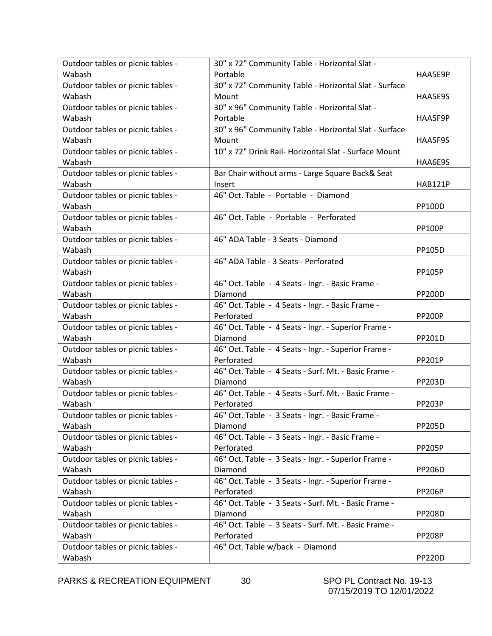| Outdoor tables or picnic tables - | 30" x 72" Community Table - Horizontal Slat -         |                |
|-----------------------------------|-------------------------------------------------------|----------------|
| Wabash                            | Portable                                              | HAA5E9P        |
| Outdoor tables or picnic tables - | 30" x 72" Community Table - Horizontal Slat - Surface |                |
| Wabash                            | Mount                                                 | HAA5E9S        |
| Outdoor tables or picnic tables - | 30" x 96" Community Table - Horizontal Slat -         |                |
| Wabash                            | Portable                                              | HAA5F9P        |
| Outdoor tables or picnic tables - | 30" x 96" Community Table - Horizontal Slat - Surface |                |
| Wabash                            | Mount                                                 | HAA5F9S        |
| Outdoor tables or picnic tables - | 10" x 72" Drink Rail- Horizontal Slat - Surface Mount |                |
| Wabash                            |                                                       | HAA6E9S        |
| Outdoor tables or picnic tables - | Bar Chair without arms - Large Square Back& Seat      |                |
| Wabash                            | Insert                                                | <b>HAB121P</b> |
| Outdoor tables or picnic tables - | 46" Oct. Table - Portable - Diamond                   |                |
| Wabash                            |                                                       | <b>PP100D</b>  |
| Outdoor tables or picnic tables - | 46" Oct. Table - Portable - Perforated                |                |
| Wabash                            |                                                       | <b>PP100P</b>  |
| Outdoor tables or picnic tables - | 46" ADA Table - 3 Seats - Diamond                     |                |
| Wabash                            |                                                       | PP105D         |
| Outdoor tables or picnic tables - | 46" ADA Table - 3 Seats - Perforated                  |                |
| Wabash                            |                                                       | <b>PP105P</b>  |
| Outdoor tables or picnic tables - | 46" Oct. Table - 4 Seats - Ingr. - Basic Frame -      |                |
| Wabash                            | Diamond                                               | <b>PP200D</b>  |
| Outdoor tables or picnic tables - | 46" Oct. Table - 4 Seats - Ingr. - Basic Frame -      |                |
| Wabash                            | Perforated                                            | <b>PP200P</b>  |
| Outdoor tables or picnic tables - | 46" Oct. Table - 4 Seats - Ingr. - Superior Frame -   |                |
| Wabash                            | Diamond                                               | PP201D         |
| Outdoor tables or picnic tables - | 46" Oct. Table - 4 Seats - Ingr. - Superior Frame -   |                |
| Wabash                            | Perforated                                            | <b>PP201P</b>  |
| Outdoor tables or picnic tables - | 46" Oct. Table - 4 Seats - Surf. Mt. - Basic Frame -  |                |
| Wabash                            | Diamond                                               | PP203D         |
| Outdoor tables or picnic tables - | 46" Oct. Table - 4 Seats - Surf. Mt. - Basic Frame -  |                |
| Wabash                            | Perforated                                            | <b>PP203P</b>  |
| Outdoor tables or picnic tables - | 46" Oct. Table - 3 Seats - Ingr. - Basic Frame -      |                |
| Wabash                            | Diamond                                               | <b>PP205D</b>  |
| Outdoor tables or picnic tables - | 46" Oct. Table - 3 Seats - Ingr. - Basic Frame -      |                |
| Wabash                            | Perforated                                            | <b>PP205P</b>  |
| Outdoor tables or picnic tables - | 46" Oct. Table - 3 Seats - Ingr. - Superior Frame -   |                |
| Wabash                            | Diamond                                               | <b>PP206D</b>  |
| Outdoor tables or picnic tables - | 46" Oct. Table - 3 Seats - Ingr. - Superior Frame -   |                |
| Wabash                            | Perforated                                            | <b>PP206P</b>  |
| Outdoor tables or picnic tables - | 46" Oct. Table - 3 Seats - Surf. Mt. - Basic Frame -  |                |
| Wabash                            | Diamond                                               | <b>PP208D</b>  |
| Outdoor tables or picnic tables - | 46" Oct. Table - 3 Seats - Surf. Mt. - Basic Frame -  |                |
| Wabash                            | Perforated<br><b>PP208P</b>                           |                |
| Outdoor tables or picnic tables - | 46" Oct. Table w/back - Diamond                       |                |
| Wabash                            |                                                       | <b>PP220D</b>  |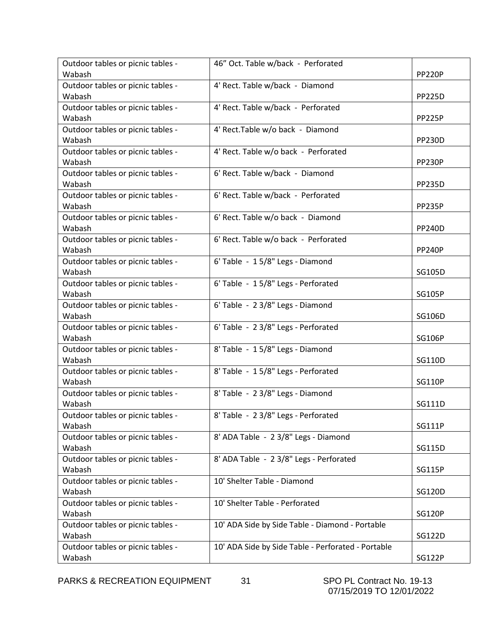| Outdoor tables or picnic tables - | 46" Oct. Table w/back - Perforated                 |               |
|-----------------------------------|----------------------------------------------------|---------------|
| Wabash                            |                                                    | <b>PP220P</b> |
| Outdoor tables or picnic tables - | 4' Rect. Table w/back - Diamond                    |               |
| Wabash                            |                                                    | <b>PP225D</b> |
| Outdoor tables or picnic tables - | 4' Rect. Table w/back - Perforated                 |               |
| Wabash                            |                                                    | <b>PP225P</b> |
| Outdoor tables or picnic tables - | 4' Rect.Table w/o back - Diamond                   |               |
| Wabash                            |                                                    | <b>PP230D</b> |
| Outdoor tables or picnic tables - | 4' Rect. Table w/o back - Perforated               |               |
| Wabash                            |                                                    | <b>PP230P</b> |
| Outdoor tables or picnic tables - | 6' Rect. Table w/back - Diamond                    |               |
| Wabash                            |                                                    | <b>PP235D</b> |
| Outdoor tables or picnic tables - | 6' Rect. Table w/back - Perforated                 |               |
| Wabash                            |                                                    | <b>PP235P</b> |
| Outdoor tables or picnic tables - | 6' Rect. Table w/o back - Diamond                  |               |
| Wabash                            |                                                    | <b>PP240D</b> |
| Outdoor tables or picnic tables - | 6' Rect. Table w/o back - Perforated               |               |
| Wabash                            |                                                    | <b>PP240P</b> |
| Outdoor tables or picnic tables - | 6' Table - 15/8" Legs - Diamond                    |               |
| Wabash                            |                                                    | SG105D        |
| Outdoor tables or picnic tables - | 6' Table - 15/8" Legs - Perforated                 |               |
| Wabash                            |                                                    | <b>SG105P</b> |
| Outdoor tables or picnic tables - | 6' Table - 2 3/8" Legs - Diamond                   |               |
| Wabash                            |                                                    | SG106D        |
| Outdoor tables or picnic tables - | 6' Table - 2 3/8" Legs - Perforated                |               |
| Wabash                            |                                                    | <b>SG106P</b> |
| Outdoor tables or picnic tables - | 8' Table - 15/8" Legs - Diamond                    |               |
| Wabash                            |                                                    | SG110D        |
| Outdoor tables or picnic tables - | 8' Table - 15/8" Legs - Perforated                 |               |
| Wabash                            |                                                    | <b>SG110P</b> |
| Outdoor tables or picnic tables - | 8' Table - 2 3/8" Legs - Diamond                   |               |
| Wabash                            |                                                    | SG111D        |
| Outdoor tables or picnic tables - | 8' Table - 2 3/8" Legs - Perforated                |               |
| Wabash                            |                                                    | <b>SG111P</b> |
| Outdoor tables or picnic tables - | 8' ADA Table - 2 3/8" Legs - Diamond               |               |
| Wabash                            |                                                    | SG115D        |
| Outdoor tables or picnic tables - | 8' ADA Table - 2 3/8" Legs - Perforated            |               |
| Wabash                            |                                                    | <b>SG115P</b> |
| Outdoor tables or picnic tables - | 10' Shelter Table - Diamond                        |               |
| Wabash                            |                                                    | <b>SG120D</b> |
| Outdoor tables or picnic tables - | 10' Shelter Table - Perforated                     |               |
| Wabash                            |                                                    | <b>SG120P</b> |
| Outdoor tables or picnic tables - | 10' ADA Side by Side Table - Diamond - Portable    |               |
| Wabash                            |                                                    | SG122D        |
| Outdoor tables or picnic tables - | 10' ADA Side by Side Table - Perforated - Portable |               |
| Wabash                            |                                                    | <b>SG122P</b> |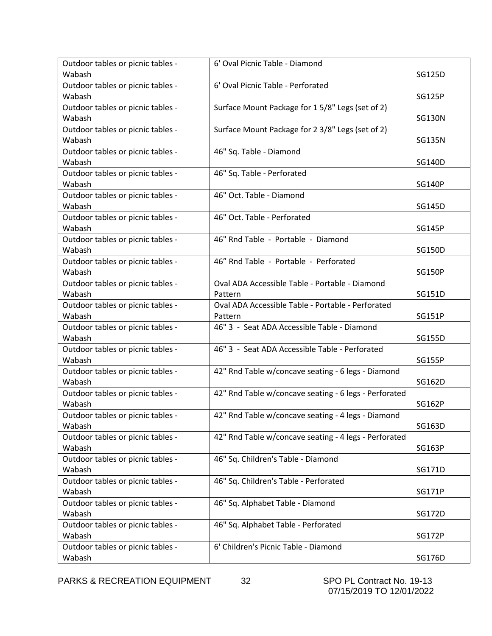| Outdoor tables or picnic tables - | 6' Oval Picnic Table - Diamond                        |               |
|-----------------------------------|-------------------------------------------------------|---------------|
| Wabash                            |                                                       | SG125D        |
| Outdoor tables or picnic tables - | 6' Oval Picnic Table - Perforated                     |               |
| Wabash                            |                                                       | <b>SG125P</b> |
| Outdoor tables or picnic tables - | Surface Mount Package for 15/8" Legs (set of 2)       |               |
| Wabash                            |                                                       | <b>SG130N</b> |
| Outdoor tables or picnic tables - | Surface Mount Package for 2 3/8" Legs (set of 2)      |               |
| Wabash                            |                                                       | <b>SG135N</b> |
| Outdoor tables or picnic tables - | 46" Sq. Table - Diamond                               |               |
| Wabash                            |                                                       | <b>SG140D</b> |
| Outdoor tables or picnic tables - | 46" Sq. Table - Perforated                            |               |
| Wabash                            |                                                       | <b>SG140P</b> |
| Outdoor tables or picnic tables - | 46" Oct. Table - Diamond                              |               |
| Wabash                            |                                                       | SG145D        |
| Outdoor tables or picnic tables - | 46" Oct. Table - Perforated                           |               |
| Wabash                            |                                                       | <b>SG145P</b> |
| Outdoor tables or picnic tables - | 46" Rnd Table - Portable - Diamond                    |               |
| Wabash                            |                                                       | SG150D        |
| Outdoor tables or picnic tables - | 46" Rnd Table - Portable - Perforated                 |               |
| Wabash                            |                                                       | <b>SG150P</b> |
| Outdoor tables or picnic tables - | Oval ADA Accessible Table - Portable - Diamond        |               |
| Wabash                            | Pattern                                               | SG151D        |
| Outdoor tables or picnic tables - | Oval ADA Accessible Table - Portable - Perforated     |               |
| Wabash                            | Pattern                                               | <b>SG151P</b> |
| Outdoor tables or picnic tables - | 46" 3 - Seat ADA Accessible Table - Diamond           |               |
| Wabash                            |                                                       | SG155D        |
| Outdoor tables or picnic tables - | 46" 3 - Seat ADA Accessible Table - Perforated        |               |
| Wabash                            |                                                       | <b>SG155P</b> |
| Outdoor tables or picnic tables - | 42" Rnd Table w/concave seating - 6 legs - Diamond    |               |
| Wabash                            |                                                       | SG162D        |
| Outdoor tables or picnic tables - | 42" Rnd Table w/concave seating - 6 legs - Perforated |               |
| Wabash                            |                                                       | SG162P        |
| Outdoor tables or picnic tables - | 42" Rnd Table w/concave seating - 4 legs - Diamond    |               |
| Wabash                            |                                                       | SG163D        |
| Outdoor tables or picnic tables - | 42" Rnd Table w/concave seating - 4 legs - Perforated |               |
| Wabash                            |                                                       | SG163P        |
| Outdoor tables or picnic tables - | 46" Sq. Children's Table - Diamond                    |               |
| Wabash                            |                                                       | SG171D        |
| Outdoor tables or picnic tables - | 46" Sq. Children's Table - Perforated                 |               |
| Wabash                            |                                                       | SG171P        |
| Outdoor tables or picnic tables - | 46" Sq. Alphabet Table - Diamond                      |               |
| Wabash                            |                                                       | <b>SG172D</b> |
| Outdoor tables or picnic tables - | 46" Sq. Alphabet Table - Perforated                   |               |
| Wabash                            |                                                       | <b>SG172P</b> |
| Outdoor tables or picnic tables - | 6' Children's Picnic Table - Diamond                  |               |
| Wabash                            |                                                       | SG176D        |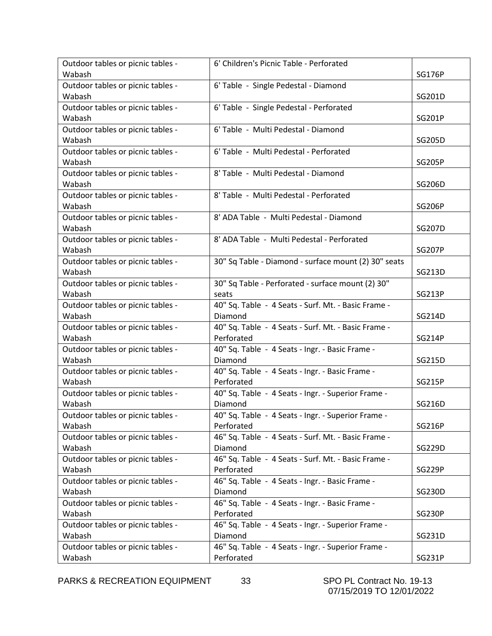| Outdoor tables or picnic tables - | 6' Children's Picnic Table - Perforated              |               |
|-----------------------------------|------------------------------------------------------|---------------|
| Wabash                            |                                                      | <b>SG176P</b> |
| Outdoor tables or picnic tables - | 6' Table - Single Pedestal - Diamond                 |               |
| Wabash                            |                                                      | SG201D        |
| Outdoor tables or picnic tables - | 6' Table - Single Pedestal - Perforated              |               |
| Wabash                            |                                                      | SG201P        |
| Outdoor tables or picnic tables - | 6' Table - Multi Pedestal - Diamond                  |               |
| Wabash                            |                                                      | SG205D        |
| Outdoor tables or picnic tables - | 6' Table - Multi Pedestal - Perforated               |               |
| Wabash                            |                                                      | <b>SG205P</b> |
| Outdoor tables or picnic tables - | 8' Table - Multi Pedestal - Diamond                  |               |
| Wabash                            |                                                      | SG206D        |
| Outdoor tables or picnic tables - | 8' Table - Multi Pedestal - Perforated               |               |
| Wabash                            |                                                      | <b>SG206P</b> |
| Outdoor tables or picnic tables - | 8' ADA Table - Multi Pedestal - Diamond              |               |
| Wabash                            |                                                      | <b>SG207D</b> |
| Outdoor tables or picnic tables - | 8' ADA Table - Multi Pedestal - Perforated           |               |
| Wabash                            |                                                      | <b>SG207P</b> |
| Outdoor tables or picnic tables - | 30" Sq Table - Diamond - surface mount (2) 30" seats |               |
| Wabash                            |                                                      | SG213D        |
| Outdoor tables or picnic tables - | 30" Sq Table - Perforated - surface mount (2) 30"    |               |
| Wabash                            | seats                                                | <b>SG213P</b> |
| Outdoor tables or picnic tables - | 40" Sq. Table - 4 Seats - Surf. Mt. - Basic Frame -  |               |
| Wabash                            | Diamond                                              | SG214D        |
| Outdoor tables or picnic tables - | 40" Sq. Table - 4 Seats - Surf. Mt. - Basic Frame -  |               |
| Wabash                            | Perforated                                           | <b>SG214P</b> |
| Outdoor tables or picnic tables - | 40" Sq. Table - 4 Seats - Ingr. - Basic Frame -      |               |
| Wabash                            | Diamond                                              | SG215D        |
| Outdoor tables or picnic tables - | 40" Sq. Table - 4 Seats - Ingr. - Basic Frame -      |               |
| Wabash                            | Perforated                                           | SG215P        |
| Outdoor tables or picnic tables - | 40" Sq. Table - 4 Seats - Ingr. - Superior Frame -   |               |
| Wabash                            | Diamond                                              | SG216D        |
| Outdoor tables or picnic tables - | 40" Sq. Table - 4 Seats - Ingr. - Superior Frame -   |               |
| Wabash                            | Perforated                                           | <b>SG216P</b> |
| Outdoor tables or picnic tables - | 46" Sq. Table - 4 Seats - Surf. Mt. - Basic Frame -  |               |
| Wabash                            | Diamond                                              | SG229D        |
| Outdoor tables or picnic tables - | 46" Sq. Table - 4 Seats - Surf. Mt. - Basic Frame -  |               |
| Wabash                            | Perforated                                           | <b>SG229P</b> |
| Outdoor tables or picnic tables - | 46" Sq. Table - 4 Seats - Ingr. - Basic Frame -      |               |
| Wabash                            | Diamond                                              | SG230D        |
| Outdoor tables or picnic tables - | 46" Sq. Table - 4 Seats - Ingr. - Basic Frame -      |               |
| Wabash                            | Perforated                                           | <b>SG230P</b> |
| Outdoor tables or picnic tables - | 46" Sq. Table - 4 Seats - Ingr. - Superior Frame -   |               |
| Wabash                            | Diamond                                              | SG231D        |
| Outdoor tables or picnic tables - | 46" Sq. Table - 4 Seats - Ingr. - Superior Frame -   |               |
| Wabash                            | Perforated                                           | SG231P        |

PARKS & RECREATION EQUIPMENT 33 SPO PL Contract No. 19-13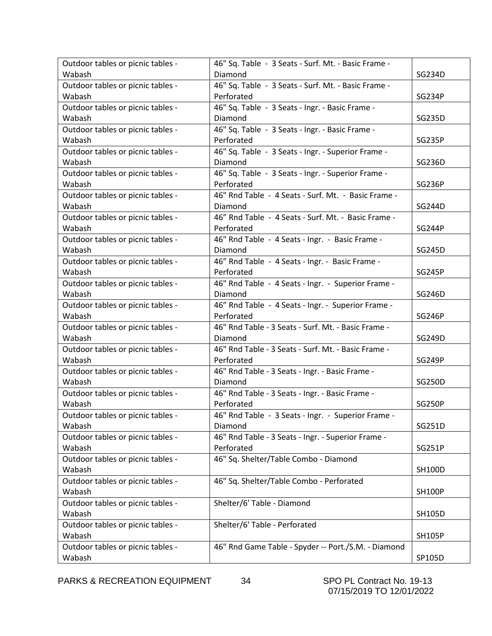| Outdoor tables or picnic tables - | 46" Sq. Table - 3 Seats - Surf. Mt. - Basic Frame - |               |
|-----------------------------------|-----------------------------------------------------|---------------|
| Wabash                            | Diamond                                             | SG234D        |
| Outdoor tables or picnic tables - | 46" Sq. Table - 3 Seats - Surf. Mt. - Basic Frame - |               |
| Wabash                            | Perforated                                          | <b>SG234P</b> |
| Outdoor tables or picnic tables - | 46" Sq. Table - 3 Seats - Ingr. - Basic Frame -     |               |
| Wabash                            | Diamond                                             | SG235D        |
| Outdoor tables or picnic tables - | 46" Sq. Table - 3 Seats - Ingr. - Basic Frame -     |               |
| Wabash                            | Perforated                                          | <b>SG235P</b> |
| Outdoor tables or picnic tables - | 46" Sq. Table - 3 Seats - Ingr. - Superior Frame -  |               |
| Wabash                            | Diamond                                             | SG236D        |
| Outdoor tables or picnic tables - | 46" Sq. Table - 3 Seats - Ingr. - Superior Frame -  |               |
| Wabash                            | Perforated                                          | <b>SG236P</b> |
| Outdoor tables or picnic tables - | 46" Rnd Table - 4 Seats - Surf. Mt. - Basic Frame - |               |
| Wabash                            | Diamond                                             | <b>SG244D</b> |
| Outdoor tables or picnic tables - | 46" Rnd Table - 4 Seats - Surf. Mt. - Basic Frame - |               |
| Wabash                            | Perforated                                          | <b>SG244P</b> |
| Outdoor tables or picnic tables - | 46" Rnd Table - 4 Seats - Ingr. - Basic Frame -     |               |
| Wabash                            | Diamond                                             | SG245D        |
| Outdoor tables or picnic tables - | 46" Rnd Table - 4 Seats - Ingr. - Basic Frame -     |               |
| Wabash                            | Perforated                                          | <b>SG245P</b> |
| Outdoor tables or picnic tables - | 46" Rnd Table - 4 Seats - Ingr. - Superior Frame -  |               |
| Wabash                            | Diamond                                             | SG246D        |
| Outdoor tables or picnic tables - | 46" Rnd Table - 4 Seats - Ingr. - Superior Frame -  |               |
| Wabash                            | Perforated                                          | <b>SG246P</b> |
| Outdoor tables or picnic tables - | 46" Rnd Table - 3 Seats - Surf. Mt. - Basic Frame - |               |
| Wabash                            | Diamond                                             | SG249D        |
| Outdoor tables or picnic tables - | 46" Rnd Table - 3 Seats - Surf. Mt. - Basic Frame - |               |
| Wabash                            | Perforated                                          | <b>SG249P</b> |
| Outdoor tables or picnic tables - | 46" Rnd Table - 3 Seats - Ingr. - Basic Frame -     |               |
| Wabash                            | Diamond                                             | SG250D        |
| Outdoor tables or picnic tables - | 46" Rnd Table - 3 Seats - Ingr. - Basic Frame -     |               |
| Wabash                            | Perforated                                          | <b>SG250P</b> |
| Outdoor tables or picnic tables - | 46" Rnd Table - 3 Seats - Ingr. - Superior Frame -  |               |
| Wabash                            | Diamond                                             | SG251D        |
| Outdoor tables or picnic tables - | 46" Rnd Table - 3 Seats - Ingr. - Superior Frame -  |               |
| Wabash                            | Perforated                                          | <b>SG251P</b> |
| Outdoor tables or picnic tables - | 46" Sq. Shelter/Table Combo - Diamond               |               |
| Wabash                            |                                                     | <b>SH100D</b> |
| Outdoor tables or picnic tables - | 46" Sq. Shelter/Table Combo - Perforated            |               |
| Wabash                            |                                                     | <b>SH100P</b> |
| Outdoor tables or picnic tables - | Shelter/6' Table - Diamond                          |               |
| Wabash                            |                                                     | SH105D        |
| Outdoor tables or picnic tables - | Shelter/6' Table - Perforated                       |               |
| Wabash                            |                                                     | <b>SH105P</b> |
| Outdoor tables or picnic tables - | 46" Rnd Game Table - Spyder -- Port./S.M. - Diamond |               |
| Wabash                            |                                                     | SP105D        |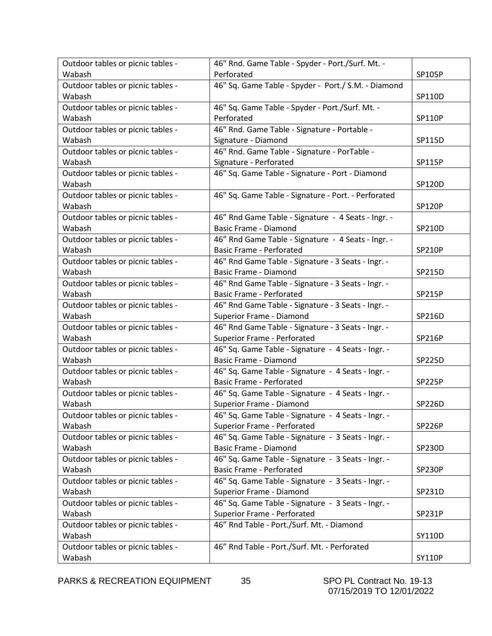| Outdoor tables or picnic tables - | 46" Rnd. Game Table - Spyder - Port./Surf. Mt. -    |               |
|-----------------------------------|-----------------------------------------------------|---------------|
| Wabash                            | Perforated                                          | SP105P        |
| Outdoor tables or picnic tables - | 46" Sq. Game Table - Spyder - Port./ S.M. - Diamond |               |
| Wabash                            |                                                     | SP110D        |
| Outdoor tables or picnic tables - | 46" Sq. Game Table - Spyder - Port./Surf. Mt. -     |               |
| Wabash                            | Perforated                                          | <b>SP110P</b> |
| Outdoor tables or picnic tables - | 46" Rnd. Game Table - Signature - Portable -        |               |
| Wabash                            | Signature - Diamond                                 | SP115D        |
| Outdoor tables or picnic tables - | 46" Rnd. Game Table - Signature - PorTable -        |               |
| Wabash                            | Signature - Perforated                              | SP115P        |
| Outdoor tables or picnic tables - | 46" Sq. Game Table - Signature - Port - Diamond     |               |
| Wabash                            |                                                     | SP120D        |
| Outdoor tables or picnic tables - | 46" Sq. Game Table - Signature - Port. - Perforated |               |
| Wabash                            |                                                     | <b>SP120P</b> |
| Outdoor tables or picnic tables - | 46" Rnd Game Table - Signature - 4 Seats - Ingr. -  |               |
| Wabash                            | <b>Basic Frame - Diamond</b>                        | SP210D        |
| Outdoor tables or picnic tables - | 46" Rnd Game Table - Signature - 4 Seats - Ingr. -  |               |
| Wabash                            | <b>Basic Frame - Perforated</b>                     | <b>SP210P</b> |
| Outdoor tables or picnic tables - | 46" Rnd Game Table - Signature - 3 Seats - Ingr. -  |               |
| Wabash                            | <b>Basic Frame - Diamond</b>                        | SP215D        |
| Outdoor tables or picnic tables - | 46" Rnd Game Table - Signature - 3 Seats - Ingr. -  |               |
| Wabash                            | <b>Basic Frame - Perforated</b>                     | SP215P        |
| Outdoor tables or picnic tables - | 46" Rnd Game Table - Signature - 3 Seats - Ingr. -  |               |
| Wabash                            | Superior Frame - Diamond<br>SP216D                  |               |
| Outdoor tables or picnic tables - | 46" Rnd Game Table - Signature - 3 Seats - Ingr. -  |               |
| Wabash                            | Superior Frame - Perforated                         | <b>SP216P</b> |
| Outdoor tables or picnic tables - | 46" Sq. Game Table - Signature - 4 Seats - Ingr. -  |               |
| Wabash                            | <b>Basic Frame - Diamond</b>                        | <b>SP225D</b> |
| Outdoor tables or picnic tables - | 46" Sq. Game Table - Signature - 4 Seats - Ingr. -  |               |
| Wabash                            | <b>Basic Frame - Perforated</b>                     | <b>SP225P</b> |
| Outdoor tables or picnic tables - | 46" Sq. Game Table - Signature - 4 Seats - Ingr. -  |               |
| Wabash                            | Superior Frame - Diamond                            | <b>SP226D</b> |
| Outdoor tables or picnic tables - | 46" Sq. Game Table - Signature - 4 Seats - Ingr. -  |               |
| Wabash                            | Superior Frame - Perforated                         | <b>SP226P</b> |
| Outdoor tables or picnic tables - | 46" Sq. Game Table - Signature - 3 Seats - Ingr. -  |               |
| Wabash                            | Basic Frame - Diamond                               | <b>SP230D</b> |
| Outdoor tables or picnic tables - | 46" Sq. Game Table - Signature - 3 Seats - Ingr. -  |               |
| Wabash                            | <b>Basic Frame - Perforated</b>                     | <b>SP230P</b> |
| Outdoor tables or picnic tables - | 46" Sq. Game Table - Signature - 3 Seats - Ingr. -  |               |
| Wabash                            | Superior Frame - Diamond<br>SP231D                  |               |
| Outdoor tables or picnic tables - | 46" Sq. Game Table - Signature - 3 Seats - Ingr. -  |               |
| Wabash                            | Superior Frame - Perforated                         | SP231P        |
| Outdoor tables or picnic tables - | 46" Rnd Table - Port./Surf. Mt. - Diamond           |               |
| Wabash                            | SY110D                                              |               |
| Outdoor tables or picnic tables - | 46" Rnd Table - Port./Surf. Mt. - Perforated        |               |
| Wabash                            |                                                     | <b>SY110P</b> |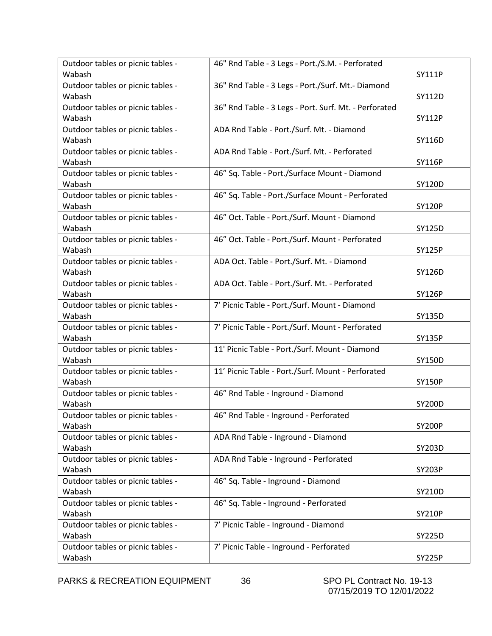| Outdoor tables or picnic tables -           | 46" Rnd Table - 3 Legs - Port./S.M. - Perforated      |               |
|---------------------------------------------|-------------------------------------------------------|---------------|
| Wabash                                      |                                                       | SY111P        |
| Outdoor tables or picnic tables -           | 36" Rnd Table - 3 Legs - Port./Surf. Mt.- Diamond     |               |
| Wabash                                      |                                                       | SY112D        |
| Outdoor tables or picnic tables -           | 36" Rnd Table - 3 Legs - Port. Surf. Mt. - Perforated |               |
| Wabash                                      |                                                       | <b>SY112P</b> |
| Outdoor tables or picnic tables -           | ADA Rnd Table - Port./Surf. Mt. - Diamond             |               |
| Wabash                                      |                                                       | SY116D        |
| Outdoor tables or picnic tables -           | ADA Rnd Table - Port./Surf. Mt. - Perforated          |               |
| Wabash                                      |                                                       | <b>SY116P</b> |
| Outdoor tables or picnic tables -           | 46" Sq. Table - Port./Surface Mount - Diamond         |               |
| Wabash                                      |                                                       | SY120D        |
| Outdoor tables or picnic tables -           | 46" Sq. Table - Port./Surface Mount - Perforated      |               |
| Wabash                                      |                                                       | <b>SY120P</b> |
| Outdoor tables or picnic tables -           | 46" Oct. Table - Port./Surf. Mount - Diamond          |               |
| Wabash                                      |                                                       | <b>SY125D</b> |
| Outdoor tables or picnic tables -<br>Wabash | 46" Oct. Table - Port./Surf. Mount - Perforated       |               |
|                                             |                                                       | <b>SY125P</b> |
| Outdoor tables or picnic tables -<br>Wabash | ADA Oct. Table - Port./Surf. Mt. - Diamond            | SY126D        |
| Outdoor tables or picnic tables -           | ADA Oct. Table - Port./Surf. Mt. - Perforated         |               |
| Wabash                                      |                                                       | <b>SY126P</b> |
| Outdoor tables or picnic tables -           | 7' Picnic Table - Port./Surf. Mount - Diamond         |               |
| Wabash                                      |                                                       | SY135D        |
| Outdoor tables or picnic tables -           | 7' Picnic Table - Port./Surf. Mount - Perforated      |               |
| Wabash                                      |                                                       | <b>SY135P</b> |
| Outdoor tables or picnic tables -           | 11' Picnic Table - Port./Surf. Mount - Diamond        |               |
| Wabash                                      |                                                       | <b>SY150D</b> |
| Outdoor tables or picnic tables -           | 11' Picnic Table - Port./Surf. Mount - Perforated     |               |
| Wabash                                      |                                                       | <b>SY150P</b> |
| Outdoor tables or picnic tables -           | 46" Rnd Table - Inground - Diamond                    |               |
| Wabash                                      |                                                       | <b>SY200D</b> |
| Outdoor tables or picnic tables -           | 46" Rnd Table - Inground - Perforated                 |               |
| Wabash                                      |                                                       | <b>SY200P</b> |
| Outdoor tables or picnic tables -           | ADA Rnd Table - Inground - Diamond                    |               |
| Wabash                                      |                                                       | SY203D        |
| Outdoor tables or picnic tables -           | ADA Rnd Table - Inground - Perforated                 |               |
| Wabash                                      |                                                       | <b>SY203P</b> |
| Outdoor tables or picnic tables -           | 46" Sq. Table - Inground - Diamond                    |               |
| Wabash                                      |                                                       | SY210D        |
| Outdoor tables or picnic tables -           | 46" Sq. Table - Inground - Perforated                 |               |
| Wabash                                      |                                                       | <b>SY210P</b> |
| Outdoor tables or picnic tables -           | 7' Picnic Table - Inground - Diamond                  |               |
| Wabash                                      |                                                       | <b>SY225D</b> |
| Outdoor tables or picnic tables -           | 7' Picnic Table - Inground - Perforated               |               |
| Wabash                                      |                                                       | <b>SY225P</b> |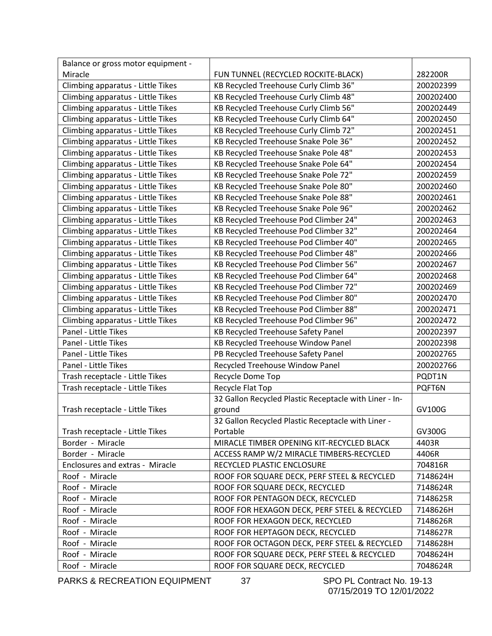| Balance or gross motor equipment - |                                                        |           |
|------------------------------------|--------------------------------------------------------|-----------|
| Miracle                            | FUN TUNNEL (RECYCLED ROCKITE-BLACK)                    | 282200R   |
| Climbing apparatus - Little Tikes  | KB Recycled Treehouse Curly Climb 36"                  | 200202399 |
| Climbing apparatus - Little Tikes  | KB Recycled Treehouse Curly Climb 48"                  | 200202400 |
| Climbing apparatus - Little Tikes  | KB Recycled Treehouse Curly Climb 56"                  | 200202449 |
| Climbing apparatus - Little Tikes  | KB Recycled Treehouse Curly Climb 64"                  | 200202450 |
| Climbing apparatus - Little Tikes  | KB Recycled Treehouse Curly Climb 72"                  | 200202451 |
| Climbing apparatus - Little Tikes  | KB Recycled Treehouse Snake Pole 36"                   | 200202452 |
| Climbing apparatus - Little Tikes  | KB Recycled Treehouse Snake Pole 48"                   | 200202453 |
| Climbing apparatus - Little Tikes  | KB Recycled Treehouse Snake Pole 64"                   | 200202454 |
| Climbing apparatus - Little Tikes  | KB Recycled Treehouse Snake Pole 72"                   | 200202459 |
| Climbing apparatus - Little Tikes  | KB Recycled Treehouse Snake Pole 80"                   | 200202460 |
| Climbing apparatus - Little Tikes  | KB Recycled Treehouse Snake Pole 88"                   | 200202461 |
| Climbing apparatus - Little Tikes  | KB Recycled Treehouse Snake Pole 96"                   | 200202462 |
| Climbing apparatus - Little Tikes  | KB Recycled Treehouse Pod Climber 24"                  | 200202463 |
| Climbing apparatus - Little Tikes  | KB Recycled Treehouse Pod Climber 32"                  | 200202464 |
| Climbing apparatus - Little Tikes  | KB Recycled Treehouse Pod Climber 40"                  | 200202465 |
| Climbing apparatus - Little Tikes  | KB Recycled Treehouse Pod Climber 48"                  | 200202466 |
| Climbing apparatus - Little Tikes  | KB Recycled Treehouse Pod Climber 56"                  | 200202467 |
| Climbing apparatus - Little Tikes  | KB Recycled Treehouse Pod Climber 64"                  | 200202468 |
| Climbing apparatus - Little Tikes  | KB Recycled Treehouse Pod Climber 72"                  | 200202469 |
| Climbing apparatus - Little Tikes  | KB Recycled Treehouse Pod Climber 80"                  | 200202470 |
| Climbing apparatus - Little Tikes  | KB Recycled Treehouse Pod Climber 88"                  | 200202471 |
| Climbing apparatus - Little Tikes  | KB Recycled Treehouse Pod Climber 96"                  | 200202472 |
| Panel - Little Tikes               | KB Recycled Treehouse Safety Panel                     | 200202397 |
| Panel - Little Tikes               | KB Recycled Treehouse Window Panel                     | 200202398 |
| Panel - Little Tikes               | PB Recycled Treehouse Safety Panel                     | 200202765 |
| Panel - Little Tikes               | Recycled Treehouse Window Panel                        | 200202766 |
| Trash receptacle - Little Tikes    | Recycle Dome Top                                       | PQDT1N    |
| Trash receptacle - Little Tikes    | Recycle Flat Top                                       | PQFT6N    |
|                                    | 32 Gallon Recycled Plastic Receptacle with Liner - In- |           |
| Trash receptacle - Little Tikes    | ground                                                 | GV100G    |
|                                    | 32 Gallon Recycled Plastic Receptacle with Liner -     |           |
| Trash receptacle - Little Tikes    | Portable                                               | GV300G    |
| Border - Miracle                   | MIRACLE TIMBER OPENING KIT-RECYCLED BLACK              | 4403R     |
| Border - Miracle                   | ACCESS RAMP W/2 MIRACLE TIMBERS-RECYCLED               | 4406R     |
| Enclosures and extras - Miracle    | RECYCLED PLASTIC ENCLOSURE                             | 704816R   |
| Roof - Miracle                     | ROOF FOR SQUARE DECK, PERF STEEL & RECYCLED            | 7148624H  |
| Roof - Miracle                     | ROOF FOR SQUARE DECK, RECYCLED                         | 7148624R  |
| Roof - Miracle                     | ROOF FOR PENTAGON DECK, RECYCLED                       | 7148625R  |
| Roof - Miracle                     | ROOF FOR HEXAGON DECK, PERF STEEL & RECYCLED           | 7148626H  |
| Roof - Miracle                     | ROOF FOR HEXAGON DECK, RECYCLED                        | 7148626R  |
| Roof - Miracle                     | ROOF FOR HEPTAGON DECK, RECYCLED                       | 7148627R  |
| Roof - Miracle                     | ROOF FOR OCTAGON DECK, PERF STEEL & RECYCLED           | 7148628H  |
| Roof - Miracle                     | ROOF FOR SQUARE DECK, PERF STEEL & RECYCLED            | 7048624H  |
| Roof - Miracle                     | ROOF FOR SQUARE DECK, RECYCLED                         | 7048624R  |

PARKS & RECREATION EQUIPMENT 37 SPO PL Contract No. 19-13

07/15/2019 TO 12/01/2022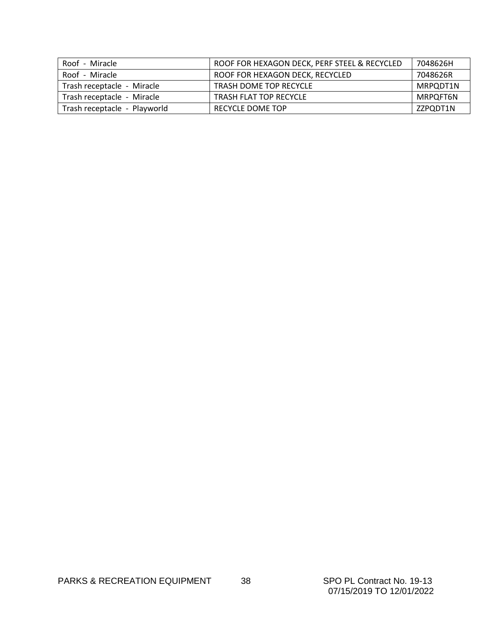| Roof - Miracle               | ROOF FOR HEXAGON DECK, PERF STEEL & RECYCLED | 7048626H |
|------------------------------|----------------------------------------------|----------|
| Roof - Miracle               | ROOF FOR HEXAGON DECK, RECYCLED              | 7048626R |
| Trash receptacle - Miracle   | <b>TRASH DOME TOP RECYCLE</b>                | MRPQDT1N |
| Trash receptacle - Miracle   | <b>TRASH FLAT TOP RECYCLE</b>                | MRPQFT6N |
| Trash receptacle - Playworld | RECYCLE DOME TOP                             | ZZPQDT1N |